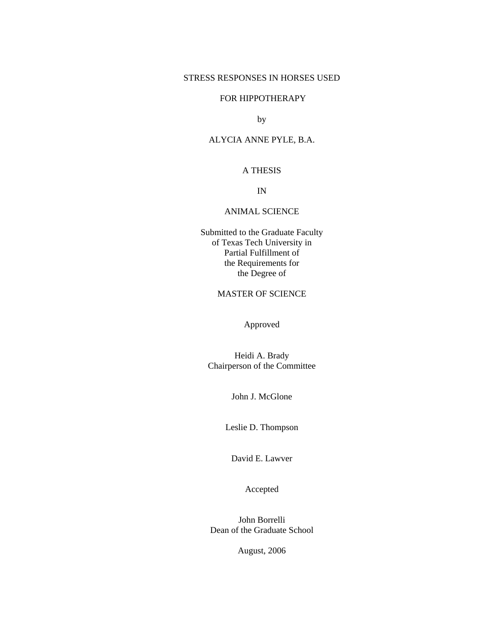### STRESS RESPONSES IN HORSES USED

# FOR HIPPOTHERAPY

by

# ALYCIA ANNE PYLE, B.A.

# A THESIS

IN

#### ANIMAL SCIENCE

Submitted to the Graduate Faculty of Texas Tech University in Partial Fulfillment of the Requirements for the Degree of

# MASTER OF SCIENCE

Approved

Heidi A. Brady Chairperson of the Committee

John J. McGlone

Leslie D. Thompson

David E. Lawver

Accepted

John Borrelli Dean of the Graduate School

August, 2006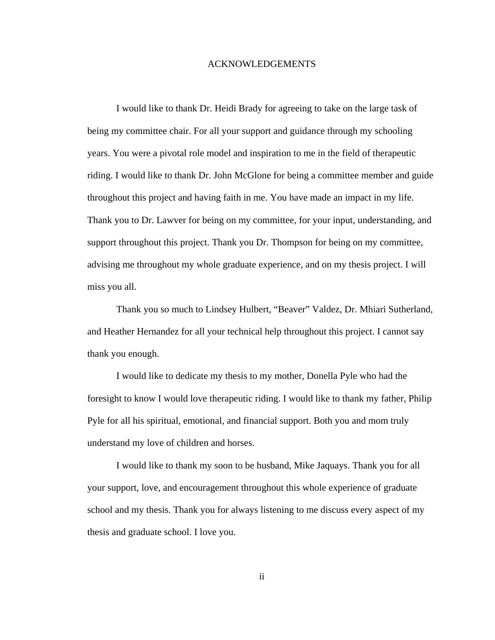### ACKNOWLEDGEMENTS

 I would like to thank Dr. Heidi Brady for agreeing to take on the large task of being my committee chair. For all your support and guidance through my schooling years. You were a pivotal role model and inspiration to me in the field of therapeutic riding. I would like to thank Dr. John McGlone for being a committee member and guide throughout this project and having faith in me. You have made an impact in my life. Thank you to Dr. Lawver for being on my committee, for your input, understanding, and support throughout this project. Thank you Dr. Thompson for being on my committee, advising me throughout my whole graduate experience, and on my thesis project. I will miss you all.

 Thank you so much to Lindsey Hulbert, "Beaver" Valdez, Dr. Mhiari Sutherland, and Heather Hernandez for all your technical help throughout this project. I cannot say thank you enough.

 I would like to dedicate my thesis to my mother, Donella Pyle who had the foresight to know I would love therapeutic riding. I would like to thank my father, Philip Pyle for all his spiritual, emotional, and financial support. Both you and mom truly understand my love of children and horses.

 I would like to thank my soon to be husband, Mike Jaquays. Thank you for all your support, love, and encouragement throughout this whole experience of graduate school and my thesis. Thank you for always listening to me discuss every aspect of my thesis and graduate school. I love you.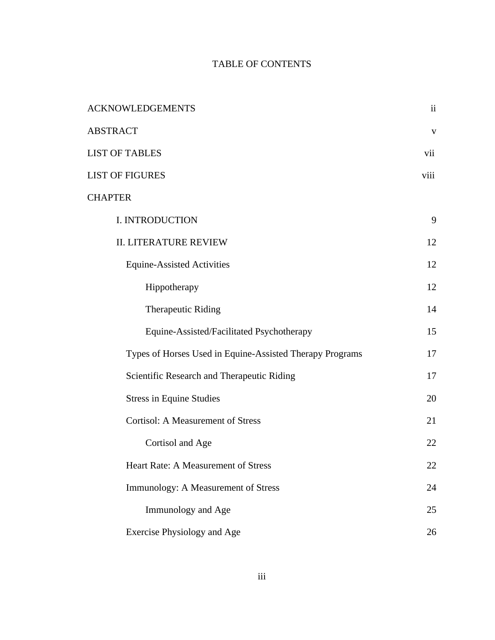# TABLE OF CONTENTS

| <b>ACKNOWLEDGEMENTS</b>                                  | $\mathbf{ii}$ |
|----------------------------------------------------------|---------------|
| <b>ABSTRACT</b>                                          | $\mathbf{V}$  |
| <b>LIST OF TABLES</b>                                    | vii           |
| <b>LIST OF FIGURES</b>                                   | viii          |
| <b>CHAPTER</b>                                           |               |
| I. INTRODUCTION                                          | 9             |
| <b>II. LITERATURE REVIEW</b>                             | 12            |
| <b>Equine-Assisted Activities</b>                        | 12            |
| Hippotherapy                                             | 12            |
| Therapeutic Riding                                       | 14            |
| Equine-Assisted/Facilitated Psychotherapy                | 15            |
| Types of Horses Used in Equine-Assisted Therapy Programs | 17            |
| Scientific Research and Therapeutic Riding               | 17            |
| <b>Stress in Equine Studies</b>                          | 20            |
| <b>Cortisol: A Measurement of Stress</b>                 | 21            |
| Cortisol and Age                                         | 22            |
| Heart Rate: A Measurement of Stress                      | 22            |
| Immunology: A Measurement of Stress                      | 24            |
| Immunology and Age                                       | 25            |
| Exercise Physiology and Age                              | 26            |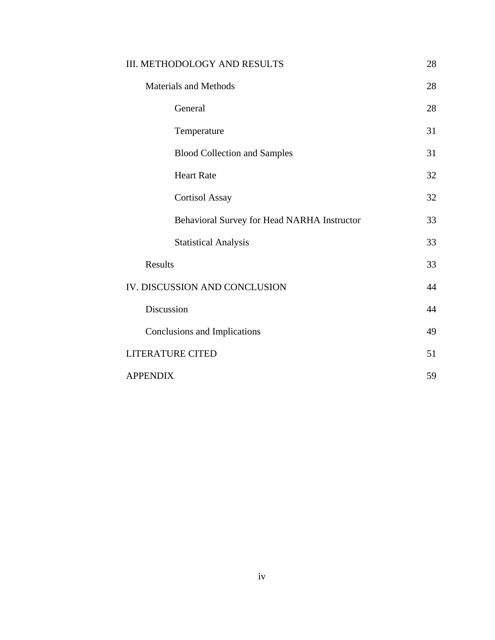| III. METHODOLOGY AND RESULTS                | 28 |
|---------------------------------------------|----|
| <b>Materials and Methods</b>                | 28 |
| General                                     | 28 |
| Temperature                                 | 31 |
| <b>Blood Collection and Samples</b>         | 31 |
| <b>Heart Rate</b>                           | 32 |
| <b>Cortisol Assay</b>                       | 32 |
| Behavioral Survey for Head NARHA Instructor | 33 |
| <b>Statistical Analysis</b>                 | 33 |
| Results                                     | 33 |
| IV. DISCUSSION AND CONCLUSION               | 44 |
| Discussion                                  | 44 |
| Conclusions and Implications                | 49 |
| <b>LITERATURE CITED</b>                     | 51 |
| <b>APPENDIX</b>                             | 59 |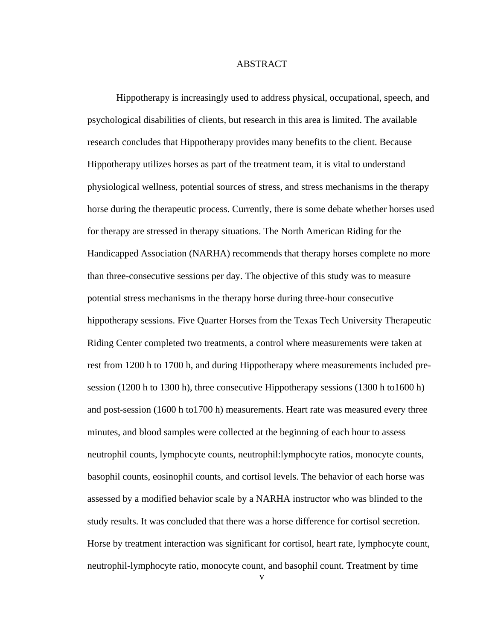### ABSTRACT

 Hippotherapy is increasingly used to address physical, occupational, speech, and psychological disabilities of clients, but research in this area is limited. The available research concludes that Hippotherapy provides many benefits to the client. Because Hippotherapy utilizes horses as part of the treatment team, it is vital to understand physiological wellness, potential sources of stress, and stress mechanisms in the therapy horse during the therapeutic process. Currently, there is some debate whether horses used for therapy are stressed in therapy situations. The North American Riding for the Handicapped Association (NARHA) recommends that therapy horses complete no more than three-consecutive sessions per day. The objective of this study was to measure potential stress mechanisms in the therapy horse during three-hour consecutive hippotherapy sessions. Five Quarter Horses from the Texas Tech University Therapeutic Riding Center completed two treatments, a control where measurements were taken at rest from 1200 h to 1700 h, and during Hippotherapy where measurements included presession (1200 h to 1300 h), three consecutive Hippotherapy sessions (1300 h to1600 h) and post-session (1600 h to1700 h) measurements. Heart rate was measured every three minutes, and blood samples were collected at the beginning of each hour to assess neutrophil counts, lymphocyte counts, neutrophil:lymphocyte ratios, monocyte counts, basophil counts, eosinophil counts, and cortisol levels. The behavior of each horse was assessed by a modified behavior scale by a NARHA instructor who was blinded to the study results. It was concluded that there was a horse difference for cortisol secretion. Horse by treatment interaction was significant for cortisol, heart rate, lymphocyte count, neutrophil-lymphocyte ratio, monocyte count, and basophil count. Treatment by time

v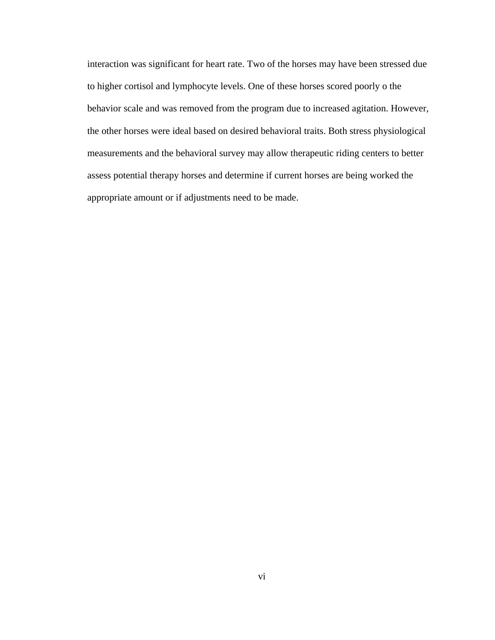interaction was significant for heart rate. Two of the horses may have been stressed due to higher cortisol and lymphocyte levels. One of these horses scored poorly o the behavior scale and was removed from the program due to increased agitation. However, the other horses were ideal based on desired behavioral traits. Both stress physiological measurements and the behavioral survey may allow therapeutic riding centers to better assess potential therapy horses and determine if current horses are being worked the appropriate amount or if adjustments need to be made.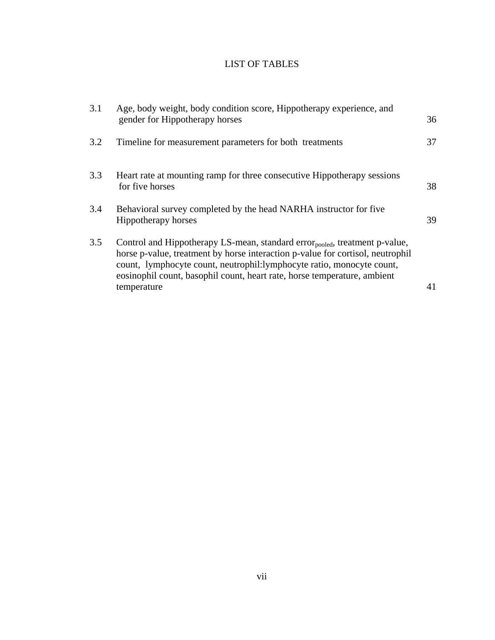# LIST OF TABLES

| 3.1 | Age, body weight, body condition score, Hippotherapy experience, and<br>gender for Hippotherapy horses                                                                                                                                                                                                                                        | 36 |
|-----|-----------------------------------------------------------------------------------------------------------------------------------------------------------------------------------------------------------------------------------------------------------------------------------------------------------------------------------------------|----|
| 3.2 | Timeline for measurement parameters for both treatments                                                                                                                                                                                                                                                                                       | 37 |
| 3.3 | Heart rate at mounting ramp for three consecutive Hippotherapy sessions<br>for five horses                                                                                                                                                                                                                                                    | 38 |
| 3.4 | Behavioral survey completed by the head NARHA instructor for five<br>Hippotherapy horses                                                                                                                                                                                                                                                      | 39 |
| 3.5 | Control and Hippotherapy LS-mean, standard error <sub>pooled</sub> , treatment p-value,<br>horse p-value, treatment by horse interaction p-value for cortisol, neutrophil<br>count, lymphocyte count, neutrophil:lymphocyte ratio, monocyte count,<br>eosinophil count, basophil count, heart rate, horse temperature, ambient<br>temperature | 41 |
|     |                                                                                                                                                                                                                                                                                                                                               |    |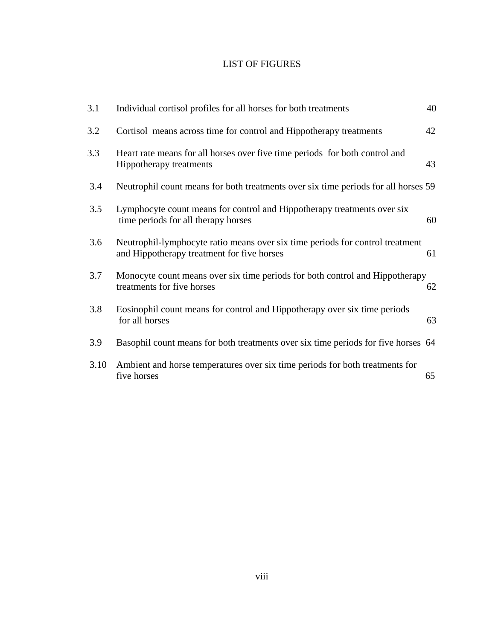# LIST OF FIGURES

| 3.1  | Individual cortisol profiles for all horses for both treatments                                                             | 40 |
|------|-----------------------------------------------------------------------------------------------------------------------------|----|
| 3.2  | Cortisol means across time for control and Hippotherapy treatments                                                          | 42 |
| 3.3  | Heart rate means for all horses over five time periods for both control and<br>Hippotherapy treatments                      | 43 |
| 3.4  | Neutrophil count means for both treatments over six time periods for all horses 59                                          |    |
| 3.5  | Lymphocyte count means for control and Hippotherapy treatments over six<br>time periods for all therapy horses              | 60 |
| 3.6  | Neutrophil-lymphocyte ratio means over six time periods for control treatment<br>and Hippotherapy treatment for five horses | 61 |
| 3.7  | Monocyte count means over six time periods for both control and Hippotherapy<br>treatments for five horses                  | 62 |
| 3.8  | Eosinophil count means for control and Hippotherapy over six time periods<br>for all horses                                 | 63 |
| 3.9  | Basophil count means for both treatments over six time periods for five horses 64                                           |    |
| 3.10 | Ambient and horse temperatures over six time periods for both treatments for<br>five horses                                 | 65 |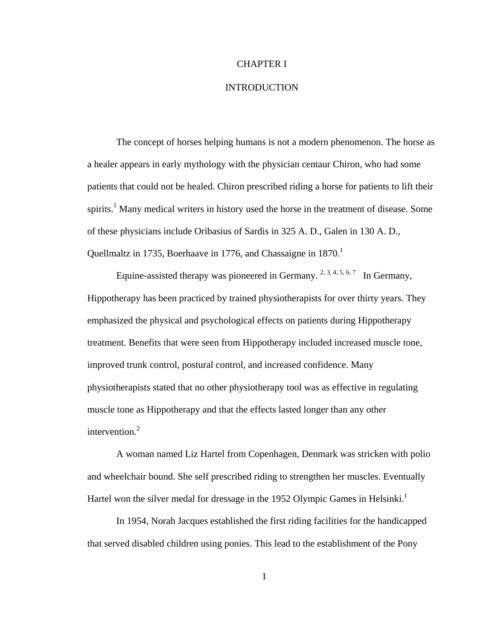### CHAPTER I

### INTRODUCTION

 The concept of horses helping humans is not a modern phenomenon. The horse as a healer appears in early mythology with the physician centaur Chiron, who had some patients that could not be healed. Chiron prescribed riding a horse for patients to lift their spirits.<sup>1</sup> Many medical writers in history used the horse in the treatment of disease. Some of these physicians include Oribasius of Sardis in 325 A. D., Galen in 130 A. D., Quellmaltz in 1735, Boerhaave in 1776, and Chassaigne in  $1870<sup>1</sup>$ 

Equine-assisted therapy was pioneered in Germany.  $2, 3, 4, 5, 6, 7$  In Germany. Hippotherapy has been practiced by trained physiotherapists for over thirty years. They emphasized the physical and psychological effects on patients during Hippotherapy treatment. Benefits that were seen from Hippotherapy included increased muscle tone, improved trunk control, postural control, and increased confidence. Many physiotherapists stated that no other physiotherapy tool was as effective in regulating muscle tone as Hippotherapy and that the effects lasted longer than any other intervention.<sup>2</sup>

 A woman named Liz Hartel from Copenhagen, Denmark was stricken with polio and wheelchair bound. She self prescribed riding to strengthen her muscles. Eventually Hartel won the silver medal for dressage in the 1952 Olympic Games in Helsinki.<sup>1</sup>

 In 1954, Norah Jacques established the first riding facilities for the handicapped that served disabled children using ponies. This lead to the establishment of the Pony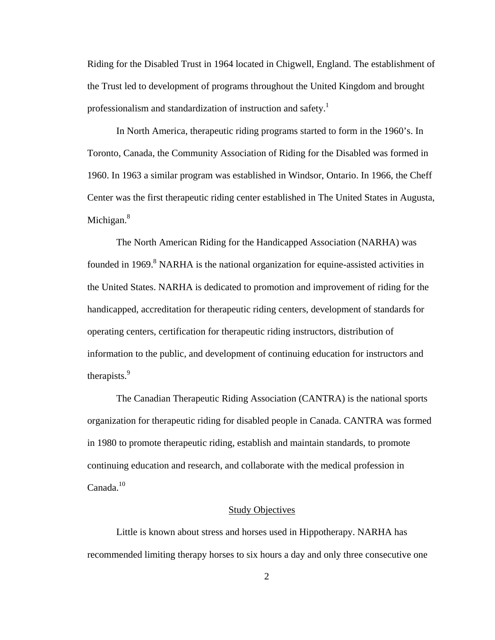Riding for the Disabled Trust in 1964 located in Chigwell, England. The establishment of the Trust led to development of programs throughout the United Kingdom and brought professionalism and standardization of instruction and safety.<sup>1</sup>

 In North America, therapeutic riding programs started to form in the 1960's. In Toronto, Canada, the Community Association of Riding for the Disabled was formed in 1960. In 1963 a similar program was established in Windsor, Ontario. In 1966, the Cheff Center was the first therapeutic riding center established in The United States in Augusta, Michigan. $8<sup>8</sup>$ 

 The North American Riding for the Handicapped Association (NARHA) was founded in 1969.<sup>8</sup> NARHA is the national organization for equine-assisted activities in the United States. NARHA is dedicated to promotion and improvement of riding for the handicapped, accreditation for therapeutic riding centers, development of standards for operating centers, certification for therapeutic riding instructors, distribution of information to the public, and development of continuing education for instructors and therapists.9

 The Canadian Therapeutic Riding Association (CANTRA) is the national sports organization for therapeutic riding for disabled people in Canada. CANTRA was formed in 1980 to promote therapeutic riding, establish and maintain standards, to promote continuing education and research, and collaborate with the medical profession in Canada.<sup>10</sup>

#### **Study Objectives**

 Little is known about stress and horses used in Hippotherapy. NARHA has recommended limiting therapy horses to six hours a day and only three consecutive one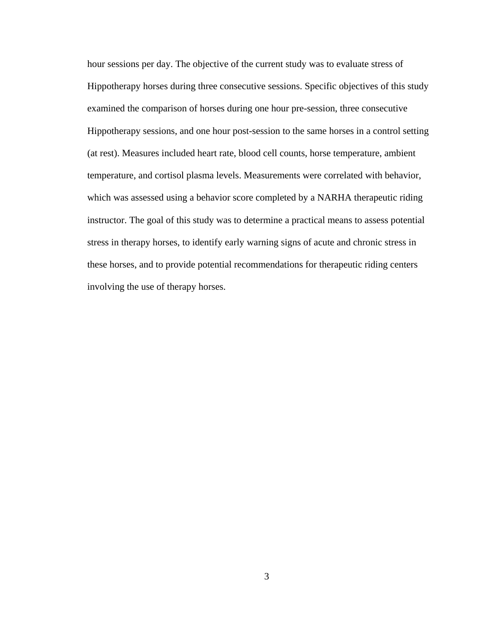hour sessions per day. The objective of the current study was to evaluate stress of Hippotherapy horses during three consecutive sessions. Specific objectives of this study examined the comparison of horses during one hour pre-session, three consecutive Hippotherapy sessions, and one hour post-session to the same horses in a control setting (at rest). Measures included heart rate, blood cell counts, horse temperature, ambient temperature, and cortisol plasma levels. Measurements were correlated with behavior, which was assessed using a behavior score completed by a NARHA therapeutic riding instructor. The goal of this study was to determine a practical means to assess potential stress in therapy horses, to identify early warning signs of acute and chronic stress in these horses, and to provide potential recommendations for therapeutic riding centers involving the use of therapy horses.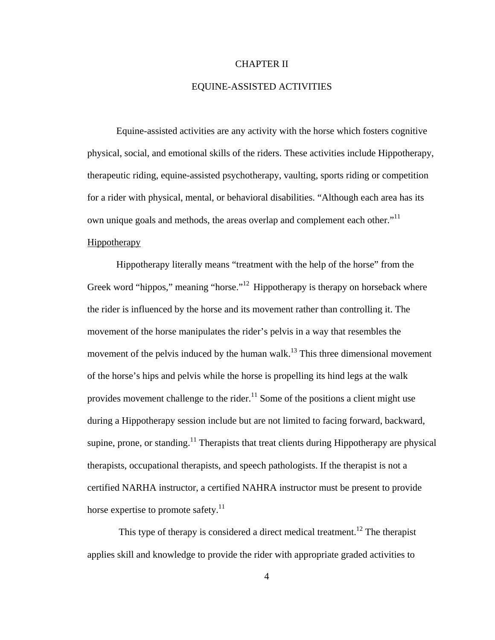#### CHAPTER II

## EQUINE-ASSISTED ACTIVITIES

Equine-assisted activities are any activity with the horse which fosters cognitive physical, social, and emotional skills of the riders. These activities include Hippotherapy, therapeutic riding, equine-assisted psychotherapy, vaulting, sports riding or competition for a rider with physical, mental, or behavioral disabilities. "Although each area has its own unique goals and methods, the areas overlap and complement each other. $11$ Hippotherapy

 Hippotherapy literally means "treatment with the help of the horse" from the Greek word "hippos," meaning "horse."<sup>12</sup> Hippotherapy is therapy on horseback where the rider is influenced by the horse and its movement rather than controlling it. The movement of the horse manipulates the rider's pelvis in a way that resembles the movement of the pelvis induced by the human walk.<sup>13</sup> This three dimensional movement of the horse's hips and pelvis while the horse is propelling its hind legs at the walk provides movement challenge to the rider.<sup>11</sup> Some of the positions a client might use during a Hippotherapy session include but are not limited to facing forward, backward, supine, prone, or standing.<sup>11</sup> Therapists that treat clients during Hippotherapy are physical therapists, occupational therapists, and speech pathologists. If the therapist is not a certified NARHA instructor, a certified NAHRA instructor must be present to provide horse expertise to promote safety. $11$ 

This type of therapy is considered a direct medical treatment.<sup>12</sup> The therapist applies skill and knowledge to provide the rider with appropriate graded activities to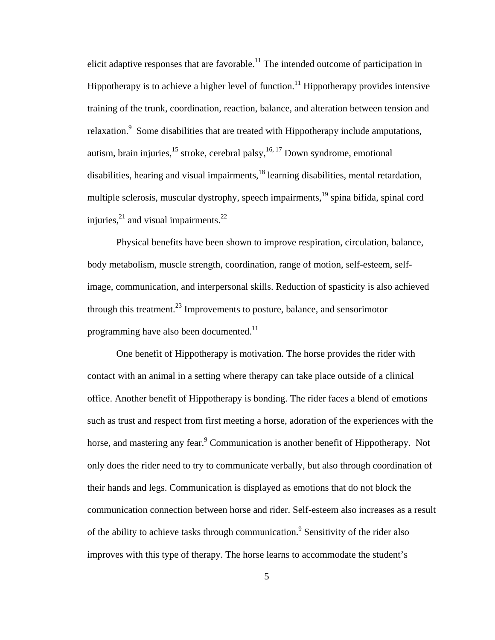elicit adaptive responses that are favorable.<sup>11</sup> The intended outcome of participation in Hippotherapy is to achieve a higher level of function.<sup>11</sup> Hippotherapy provides intensive training of the trunk, coordination, reaction, balance, and alteration between tension and relaxation.<sup>9</sup> Some disabilities that are treated with Hippotherapy include amputations, autism, brain injuries, $15$  stroke, cerebral palsy,  $16, 17$  Down syndrome, emotional disabilities, hearing and visual impairments,<sup>18</sup> learning disabilities, mental retardation, multiple sclerosis, muscular dystrophy, speech impairments,<sup>19</sup> spina bifida, spinal cord injuries, $^{21}$  and visual impairments. $^{22}$ 

 Physical benefits have been shown to improve respiration, circulation, balance, body metabolism, muscle strength, coordination, range of motion, self-esteem, selfimage, communication, and interpersonal skills. Reduction of spasticity is also achieved through this treatment.<sup>23</sup> Improvements to posture, balance, and sensorimotor programming have also been documented.<sup>11</sup>

 One benefit of Hippotherapy is motivation. The horse provides the rider with contact with an animal in a setting where therapy can take place outside of a clinical office. Another benefit of Hippotherapy is bonding. The rider faces a blend of emotions such as trust and respect from first meeting a horse, adoration of the experiences with the horse, and mastering any fear.<sup>9</sup> Communication is another benefit of Hippotherapy. Not only does the rider need to try to communicate verbally, but also through coordination of their hands and legs. Communication is displayed as emotions that do not block the communication connection between horse and rider. Self-esteem also increases as a result of the ability to achieve tasks through communication.<sup>9</sup> Sensitivity of the rider also improves with this type of therapy. The horse learns to accommodate the student's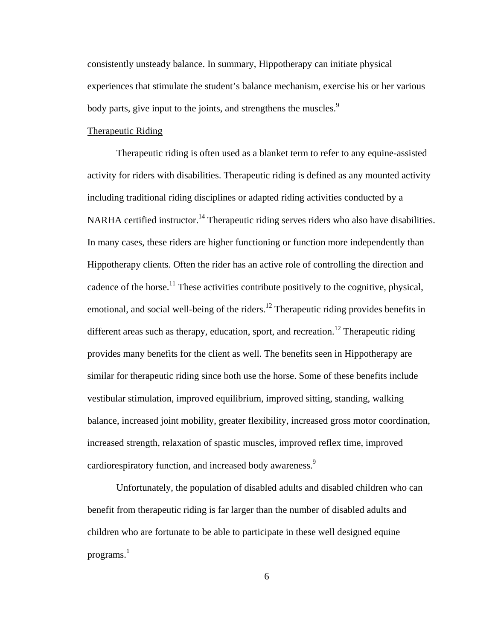consistently unsteady balance. In summary, Hippotherapy can initiate physical experiences that stimulate the student's balance mechanism, exercise his or her various body parts, give input to the joints, and strengthens the muscles.<sup>9</sup>

### Therapeutic Riding

Therapeutic riding is often used as a blanket term to refer to any equine-assisted activity for riders with disabilities. Therapeutic riding is defined as any mounted activity including traditional riding disciplines or adapted riding activities conducted by a NARHA certified instructor.<sup>14</sup> Therapeutic riding serves riders who also have disabilities. In many cases, these riders are higher functioning or function more independently than Hippotherapy clients. Often the rider has an active role of controlling the direction and cadence of the horse.<sup>11</sup> These activities contribute positively to the cognitive, physical, emotional, and social well-being of the riders.<sup>12</sup> Therapeutic riding provides benefits in different areas such as therapy, education, sport, and recreation.<sup>12</sup> Therapeutic riding provides many benefits for the client as well. The benefits seen in Hippotherapy are similar for therapeutic riding since both use the horse. Some of these benefits include vestibular stimulation, improved equilibrium, improved sitting, standing, walking balance, increased joint mobility, greater flexibility, increased gross motor coordination, increased strength, relaxation of spastic muscles, improved reflex time, improved cardiorespiratory function, and increased body awareness.<sup>9</sup>

 Unfortunately, the population of disabled adults and disabled children who can benefit from therapeutic riding is far larger than the number of disabled adults and children who are fortunate to be able to participate in these well designed equine programs.<sup>1</sup>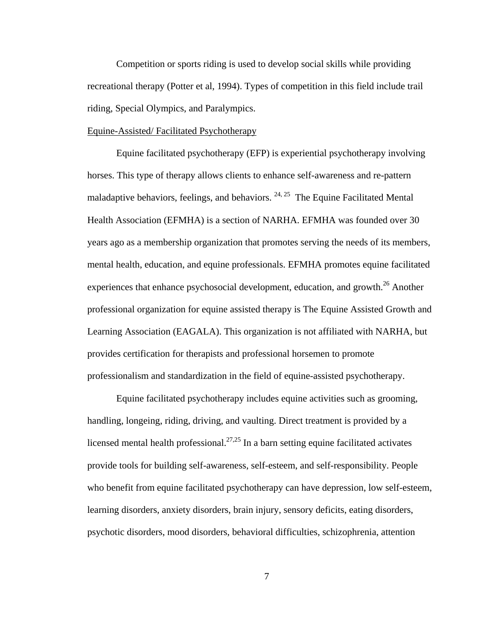Competition or sports riding is used to develop social skills while providing recreational therapy (Potter et al, 1994). Types of competition in this field include trail riding, Special Olympics, and Paralympics.

### Equine-Assisted/ Facilitated Psychotherapy

Equine facilitated psychotherapy (EFP) is experiential psychotherapy involving horses. This type of therapy allows clients to enhance self-awareness and re-pattern maladaptive behaviors, feelings, and behaviors.  $24, 25$  The Equine Facilitated Mental Health Association (EFMHA) is a section of NARHA. EFMHA was founded over 30 years ago as a membership organization that promotes serving the needs of its members, mental health, education, and equine professionals. EFMHA promotes equine facilitated experiences that enhance psychosocial development, education, and growth.<sup>26</sup> Another professional organization for equine assisted therapy is The Equine Assisted Growth and Learning Association (EAGALA). This organization is not affiliated with NARHA, but provides certification for therapists and professional horsemen to promote professionalism and standardization in the field of equine-assisted psychotherapy.

 Equine facilitated psychotherapy includes equine activities such as grooming, handling, longeing, riding, driving, and vaulting. Direct treatment is provided by a licensed mental health professional.<sup>27,25</sup> In a barn setting equine facilitated activates provide tools for building self-awareness, self-esteem, and self-responsibility. People who benefit from equine facilitated psychotherapy can have depression, low self-esteem, learning disorders, anxiety disorders, brain injury, sensory deficits, eating disorders, psychotic disorders, mood disorders, behavioral difficulties, schizophrenia, attention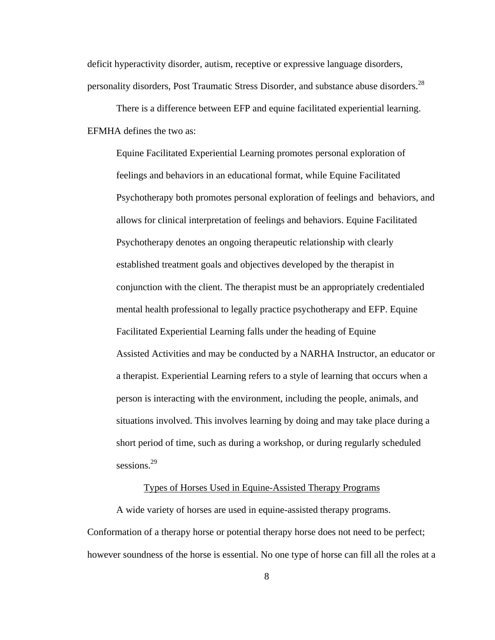deficit hyperactivity disorder, autism, receptive or expressive language disorders, personality disorders, Post Traumatic Stress Disorder, and substance abuse disorders.<sup>28</sup>

 There is a difference between EFP and equine facilitated experiential learning. EFMHA defines the two as:

 Equine Facilitated Experiential Learning promotes personal exploration of feelings and behaviors in an educational format, while Equine Facilitated Psychotherapy both promotes personal exploration of feelings and behaviors, and allows for clinical interpretation of feelings and behaviors. Equine Facilitated Psychotherapy denotes an ongoing therapeutic relationship with clearly established treatment goals and objectives developed by the therapist in conjunction with the client. The therapist must be an appropriately credentialed mental health professional to legally practice psychotherapy and EFP. Equine Facilitated Experiential Learning falls under the heading of Equine Assisted Activities and may be conducted by a NARHA Instructor, an educator or a therapist. Experiential Learning refers to a style of learning that occurs when a person is interacting with the environment, including the people, animals, and situations involved. This involves learning by doing and may take place during a short period of time, such as during a workshop, or during regularly scheduled sessions.<sup>29</sup>

# Types of Horses Used in Equine-Assisted Therapy Programs

 A wide variety of horses are used in equine-assisted therapy programs. Conformation of a therapy horse or potential therapy horse does not need to be perfect; however soundness of the horse is essential. No one type of horse can fill all the roles at a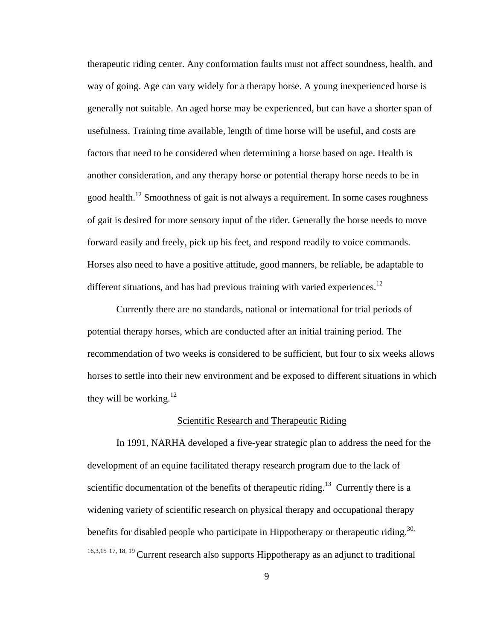therapeutic riding center. Any conformation faults must not affect soundness, health, and way of going. Age can vary widely for a therapy horse. A young inexperienced horse is generally not suitable. An aged horse may be experienced, but can have a shorter span of usefulness. Training time available, length of time horse will be useful, and costs are factors that need to be considered when determining a horse based on age. Health is another consideration, and any therapy horse or potential therapy horse needs to be in good health.12 Smoothness of gait is not always a requirement. In some cases roughness of gait is desired for more sensory input of the rider. Generally the horse needs to move forward easily and freely, pick up his feet, and respond readily to voice commands. Horses also need to have a positive attitude, good manners, be reliable, be adaptable to different situations, and has had previous training with varied experiences.<sup>12</sup>

 Currently there are no standards, national or international for trial periods of potential therapy horses, which are conducted after an initial training period. The recommendation of two weeks is considered to be sufficient, but four to six weeks allows horses to settle into their new environment and be exposed to different situations in which they will be working. $12$ 

#### Scientific Research and Therapeutic Riding

 In 1991, NARHA developed a five-year strategic plan to address the need for the development of an equine facilitated therapy research program due to the lack of scientific documentation of the benefits of therapeutic riding.<sup>13</sup> Currently there is a widening variety of scientific research on physical therapy and occupational therapy benefits for disabled people who participate in Hippotherapy or therapeutic riding.<sup>30,</sup> 16,3,15 17, 18, 19 Current research also supports Hippotherapy as an adjunct to traditional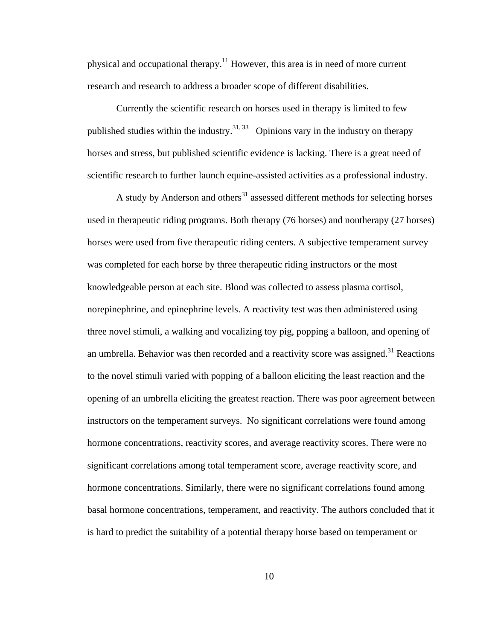physical and occupational therapy.11 However, this area is in need of more current research and research to address a broader scope of different disabilities.

 Currently the scientific research on horses used in therapy is limited to few published studies within the industry.<sup>31, 33</sup> Opinions vary in the industry on therapy horses and stress, but published scientific evidence is lacking. There is a great need of scientific research to further launch equine-assisted activities as a professional industry.

A study by Anderson and others $31$  assessed different methods for selecting horses used in therapeutic riding programs. Both therapy (76 horses) and nontherapy (27 horses) horses were used from five therapeutic riding centers. A subjective temperament survey was completed for each horse by three therapeutic riding instructors or the most knowledgeable person at each site. Blood was collected to assess plasma cortisol, norepinephrine, and epinephrine levels. A reactivity test was then administered using three novel stimuli, a walking and vocalizing toy pig, popping a balloon, and opening of an umbrella. Behavior was then recorded and a reactivity score was assigned. $31$  Reactions to the novel stimuli varied with popping of a balloon eliciting the least reaction and the opening of an umbrella eliciting the greatest reaction. There was poor agreement between instructors on the temperament surveys. No significant correlations were found among hormone concentrations, reactivity scores, and average reactivity scores. There were no significant correlations among total temperament score, average reactivity score, and hormone concentrations. Similarly, there were no significant correlations found among basal hormone concentrations, temperament, and reactivity. The authors concluded that it is hard to predict the suitability of a potential therapy horse based on temperament or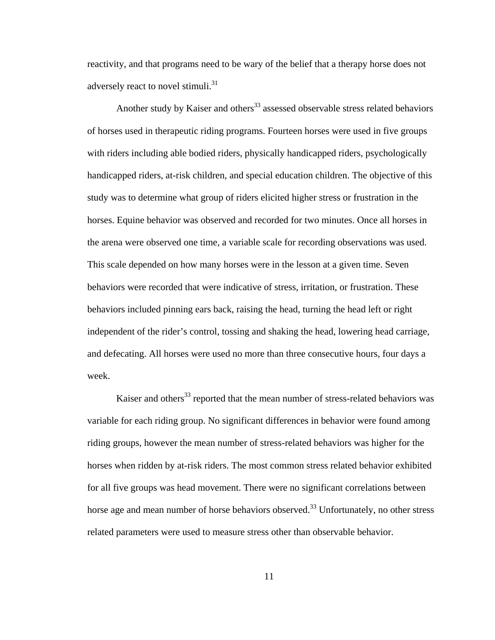reactivity, and that programs need to be wary of the belief that a therapy horse does not adversely react to novel stimuli.<sup>31</sup>

Another study by Kaiser and others<sup>33</sup> assessed observable stress related behaviors of horses used in therapeutic riding programs. Fourteen horses were used in five groups with riders including able bodied riders, physically handicapped riders, psychologically handicapped riders, at-risk children, and special education children. The objective of this study was to determine what group of riders elicited higher stress or frustration in the horses. Equine behavior was observed and recorded for two minutes. Once all horses in the arena were observed one time, a variable scale for recording observations was used. This scale depended on how many horses were in the lesson at a given time. Seven behaviors were recorded that were indicative of stress, irritation, or frustration. These behaviors included pinning ears back, raising the head, turning the head left or right independent of the rider's control, tossing and shaking the head, lowering head carriage, and defecating. All horses were used no more than three consecutive hours, four days a week.

Kaiser and others<sup>33</sup> reported that the mean number of stress-related behaviors was variable for each riding group. No significant differences in behavior were found among riding groups, however the mean number of stress-related behaviors was higher for the horses when ridden by at-risk riders. The most common stress related behavior exhibited for all five groups was head movement. There were no significant correlations between horse age and mean number of horse behaviors observed.<sup>33</sup> Unfortunately, no other stress related parameters were used to measure stress other than observable behavior.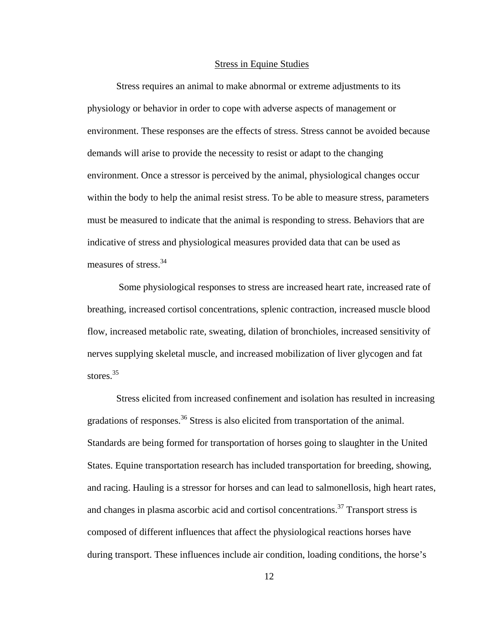#### Stress in Equine Studies

 Stress requires an animal to make abnormal or extreme adjustments to its physiology or behavior in order to cope with adverse aspects of management or environment. These responses are the effects of stress. Stress cannot be avoided because demands will arise to provide the necessity to resist or adapt to the changing environment. Once a stressor is perceived by the animal, physiological changes occur within the body to help the animal resist stress. To be able to measure stress, parameters must be measured to indicate that the animal is responding to stress. Behaviors that are indicative of stress and physiological measures provided data that can be used as measures of stress.34

 Some physiological responses to stress are increased heart rate, increased rate of breathing, increased cortisol concentrations, splenic contraction, increased muscle blood flow, increased metabolic rate, sweating, dilation of bronchioles, increased sensitivity of nerves supplying skeletal muscle, and increased mobilization of liver glycogen and fat stores<sup>35</sup>

Stress elicited from increased confinement and isolation has resulted in increasing gradations of responses.<sup>36</sup> Stress is also elicited from transportation of the animal. Standards are being formed for transportation of horses going to slaughter in the United States. Equine transportation research has included transportation for breeding, showing, and racing. Hauling is a stressor for horses and can lead to salmonellosis, high heart rates, and changes in plasma ascorbic acid and cortisol concentrations.<sup>37</sup> Transport stress is composed of different influences that affect the physiological reactions horses have during transport. These influences include air condition, loading conditions, the horse's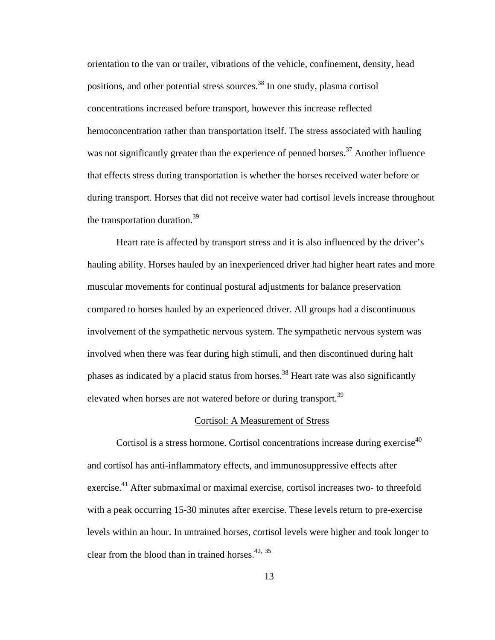orientation to the van or trailer, vibrations of the vehicle, confinement, density, head positions, and other potential stress sources.<sup>38</sup> In one study, plasma cortisol concentrations increased before transport, however this increase reflected hemoconcentration rather than transportation itself. The stress associated with hauling was not significantly greater than the experience of penned horses.<sup>37</sup> Another influence that effects stress during transportation is whether the horses received water before or during transport. Horses that did not receive water had cortisol levels increase throughout the transportation duration.<sup>39</sup>

Heart rate is affected by transport stress and it is also influenced by the driver's hauling ability. Horses hauled by an inexperienced driver had higher heart rates and more muscular movements for continual postural adjustments for balance preservation compared to horses hauled by an experienced driver. All groups had a discontinuous involvement of the sympathetic nervous system. The sympathetic nervous system was involved when there was fear during high stimuli, and then discontinued during halt phases as indicated by a placid status from horses.<sup>38</sup> Heart rate was also significantly elevated when horses are not watered before or during transport.<sup>39</sup>

#### Cortisol: A Measurement of Stress

Cortisol is a stress hormone. Cortisol concentrations increase during exercise<sup>40</sup> and cortisol has anti-inflammatory effects, and immunosuppressive effects after exercise.<sup>41</sup> After submaximal or maximal exercise, cortisol increases two- to threefold with a peak occurring 15-30 minutes after exercise. These levels return to pre-exercise levels within an hour. In untrained horses, cortisol levels were higher and took longer to clear from the blood than in trained horses. $42, 35$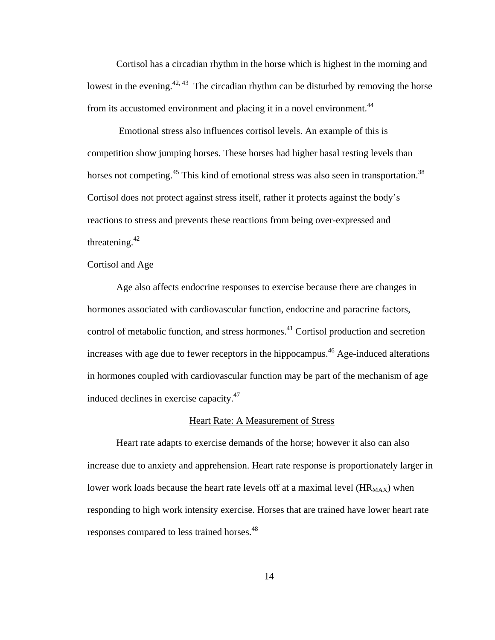Cortisol has a circadian rhythm in the horse which is highest in the morning and lowest in the evening.<sup>42, 43</sup> The circadian rhythm can be disturbed by removing the horse from its accustomed environment and placing it in a novel environment.<sup>44</sup>

 Emotional stress also influences cortisol levels. An example of this is competition show jumping horses. These horses had higher basal resting levels than horses not competing.<sup>45</sup> This kind of emotional stress was also seen in transportation.<sup>38</sup> Cortisol does not protect against stress itself, rather it protects against the body's reactions to stress and prevents these reactions from being over-expressed and threatening. $42$ 

# Cortisol and Age

Age also affects endocrine responses to exercise because there are changes in hormones associated with cardiovascular function, endocrine and paracrine factors, control of metabolic function, and stress hormones.<sup>41</sup> Cortisol production and secretion increases with age due to fewer receptors in the hippocampus.<sup>46</sup> Age-induced alterations in hormones coupled with cardiovascular function may be part of the mechanism of age induced declines in exercise capacity.47

#### Heart Rate: A Measurement of Stress

 Heart rate adapts to exercise demands of the horse; however it also can also increase due to anxiety and apprehension. Heart rate response is proportionately larger in lower work loads because the heart rate levels off at a maximal level  $(HR<sub>MAX</sub>)$  when responding to high work intensity exercise. Horses that are trained have lower heart rate responses compared to less trained horses.<sup>48</sup>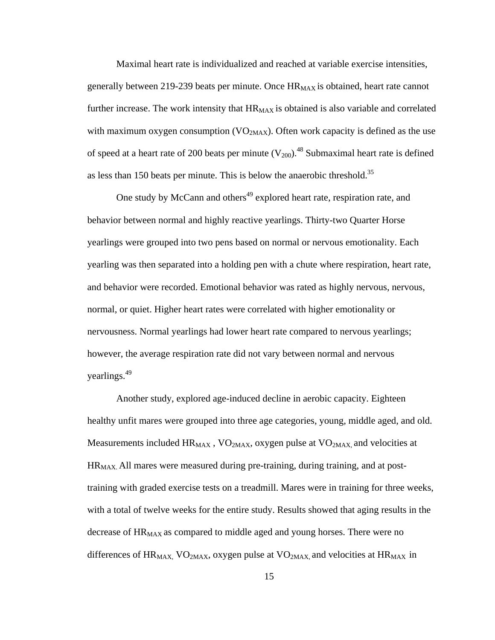Maximal heart rate is individualized and reached at variable exercise intensities, generally between 219-239 beats per minute. Once  $HR_{MAX}$  is obtained, heart rate cannot further increase. The work intensity that  $HR_{MAX}$  is obtained is also variable and correlated with maximum oxygen consumption ( $VO<sub>2MAX</sub>$ ). Often work capacity is defined as the use of speed at a heart rate of 200 beats per minute  $(V_{200})$ .<sup>48</sup> Submaximal heart rate is defined as less than 150 beats per minute. This is below the anaerobic threshold.<sup>35</sup>

One study by McCann and others<sup>49</sup> explored heart rate, respiration rate, and behavior between normal and highly reactive yearlings. Thirty-two Quarter Horse yearlings were grouped into two pens based on normal or nervous emotionality. Each yearling was then separated into a holding pen with a chute where respiration, heart rate, and behavior were recorded. Emotional behavior was rated as highly nervous, nervous, normal, or quiet. Higher heart rates were correlated with higher emotionality or nervousness. Normal yearlings had lower heart rate compared to nervous yearlings; however, the average respiration rate did not vary between normal and nervous yearlings.49

 Another study, explored age-induced decline in aerobic capacity. Eighteen healthy unfit mares were grouped into three age categories, young, middle aged, and old. Measurements included  $HR_{MAX}$ , VO<sub>2MAX</sub>, oxygen pulse at VO<sub>2MAX</sub>, and velocities at HR<sub>MAX</sub>. All mares were measured during pre-training, during training, and at posttraining with graded exercise tests on a treadmill. Mares were in training for three weeks, with a total of twelve weeks for the entire study. Results showed that aging results in the decrease of HR<sub>MAX</sub> as compared to middle aged and young horses. There were no differences of  $HR_{MAX}$ , VO<sub>2MAX</sub>, oxygen pulse at VO<sub>2MAX</sub>, and velocities at  $HR_{MAX}$  in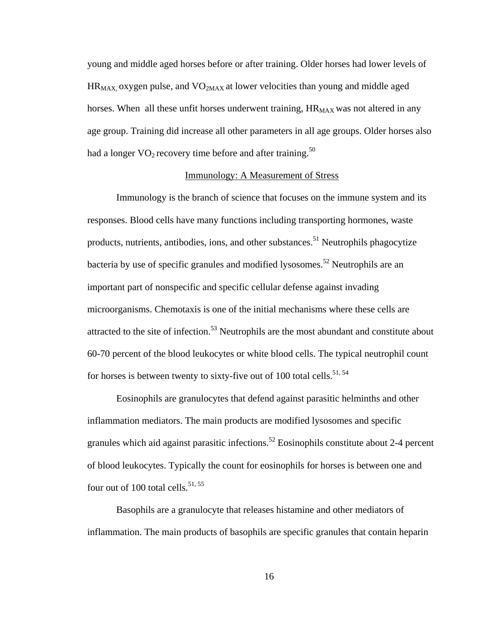young and middle aged horses before or after training. Older horses had lower levels of  $HR_{MAX}$  oxygen pulse, and  $VO<sub>2MAX</sub>$  at lower velocities than young and middle aged horses. When all these unfit horses underwent training,  $HR_{MAX}$  was not altered in any age group. Training did increase all other parameters in all age groups. Older horses also had a longer  $VO<sub>2</sub>$  recovery time before and after training.<sup>50</sup>

## Immunology: A Measurement of Stress

 Immunology is the branch of science that focuses on the immune system and its responses. Blood cells have many functions including transporting hormones, waste products, nutrients, antibodies, ions, and other substances.<sup>51</sup> Neutrophils phagocytize bacteria by use of specific granules and modified lysosomes.<sup>52</sup> Neutrophils are an important part of nonspecific and specific cellular defense against invading microorganisms. Chemotaxis is one of the initial mechanisms where these cells are attracted to the site of infection.<sup>53</sup> Neutrophils are the most abundant and constitute about 60-70 percent of the blood leukocytes or white blood cells. The typical neutrophil count for horses is between twenty to sixty-five out of 100 total cells.<sup>51, 54</sup>

 Eosinophils are granulocytes that defend against parasitic helminths and other inflammation mediators. The main products are modified lysosomes and specific granules which aid against parasitic infections.<sup>52</sup> Eosinophils constitute about 2-4 percent of blood leukocytes. Typically the count for eosinophils for horses is between one and four out of 100 total cells. $51, 55$ 

 Basophils are a granulocyte that releases histamine and other mediators of inflammation. The main products of basophils are specific granules that contain heparin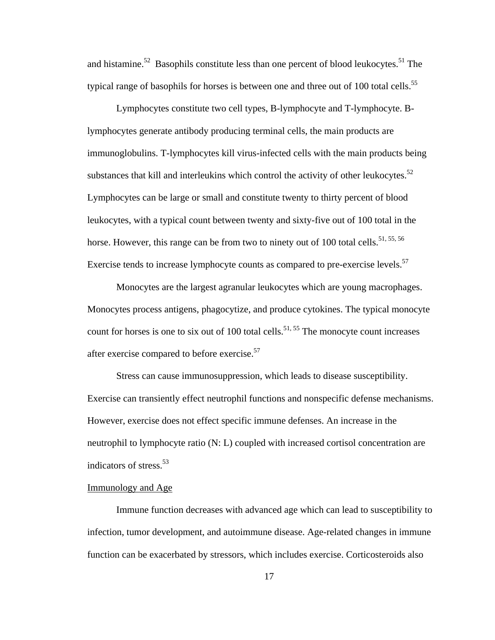and histamine.<sup>52</sup> Basophils constitute less than one percent of blood leukocytes.<sup>51</sup> The typical range of basophils for horses is between one and three out of 100 total cells.<sup>55</sup>

 Lymphocytes constitute two cell types, B-lymphocyte and T-lymphocyte. Blymphocytes generate antibody producing terminal cells, the main products are immunoglobulins. T-lymphocytes kill virus-infected cells with the main products being substances that kill and interleukins which control the activity of other leukocytes. $52$ Lymphocytes can be large or small and constitute twenty to thirty percent of blood leukocytes, with a typical count between twenty and sixty-five out of 100 total in the horse. However, this range can be from two to ninety out of 100 total cells.<sup>51, 55, 56</sup> Exercise tends to increase lymphocyte counts as compared to pre-exercise levels. $57$ 

 Monocytes are the largest agranular leukocytes which are young macrophages. Monocytes process antigens, phagocytize, and produce cytokines. The typical monocyte count for horses is one to six out of 100 total cells.<sup>51, 55</sup> The monocyte count increases after exercise compared to before exercise.<sup>57</sup>

 Stress can cause immunosuppression, which leads to disease susceptibility. Exercise can transiently effect neutrophil functions and nonspecific defense mechanisms. However, exercise does not effect specific immune defenses. An increase in the neutrophil to lymphocyte ratio (N: L) coupled with increased cortisol concentration are indicators of stress. $53$ 

# Immunology and Age

Immune function decreases with advanced age which can lead to susceptibility to infection, tumor development, and autoimmune disease. Age-related changes in immune function can be exacerbated by stressors, which includes exercise. Corticosteroids also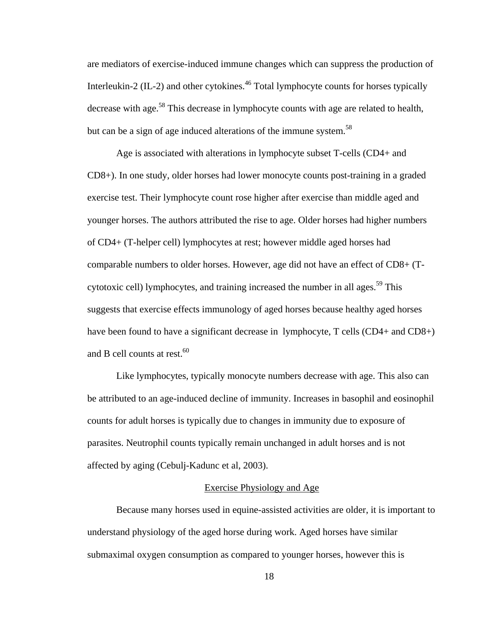are mediators of exercise-induced immune changes which can suppress the production of Interleukin-2 (IL-2) and other cytokines.<sup>46</sup> Total lymphocyte counts for horses typically decrease with age.<sup>58</sup> This decrease in lymphocyte counts with age are related to health, but can be a sign of age induced alterations of the immune system.<sup>58</sup>

Age is associated with alterations in lymphocyte subset T-cells (CD4+ and CD8+). In one study, older horses had lower monocyte counts post-training in a graded exercise test. Their lymphocyte count rose higher after exercise than middle aged and younger horses. The authors attributed the rise to age. Older horses had higher numbers of CD4+ (T-helper cell) lymphocytes at rest; however middle aged horses had comparable numbers to older horses. However, age did not have an effect of CD8+ (Tcytotoxic cell) lymphocytes, and training increased the number in all ages.<sup>59</sup> This suggests that exercise effects immunology of aged horses because healthy aged horses have been found to have a significant decrease in lymphocyte, T cells (CD4+ and CD8+) and B cell counts at rest.<sup>60</sup>

Like lymphocytes, typically monocyte numbers decrease with age. This also can be attributed to an age-induced decline of immunity. Increases in basophil and eosinophil counts for adult horses is typically due to changes in immunity due to exposure of parasites. Neutrophil counts typically remain unchanged in adult horses and is not affected by aging (Cebulj-Kadunc et al, 2003).

### Exercise Physiology and Age

Because many horses used in equine-assisted activities are older, it is important to understand physiology of the aged horse during work. Aged horses have similar submaximal oxygen consumption as compared to younger horses, however this is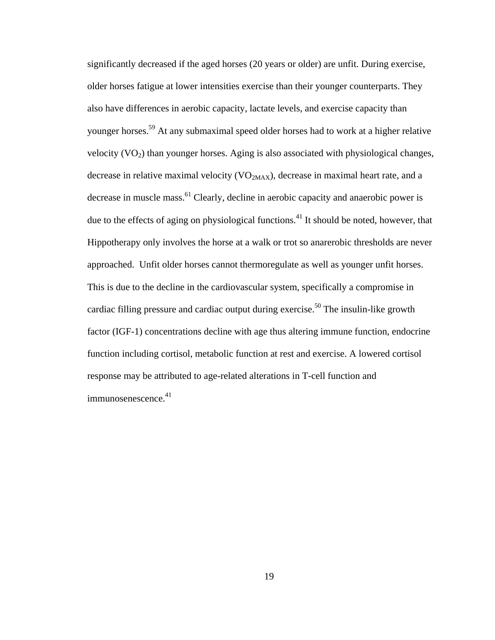significantly decreased if the aged horses (20 years or older) are unfit. During exercise, older horses fatigue at lower intensities exercise than their younger counterparts. They also have differences in aerobic capacity, lactate levels, and exercise capacity than younger horses.<sup>59</sup> At any submaximal speed older horses had to work at a higher relative velocity  $(VO<sub>2</sub>)$  than younger horses. Aging is also associated with physiological changes, decrease in relative maximal velocity ( $VO<sub>2MAX</sub>$ ), decrease in maximal heart rate, and a decrease in muscle mass.<sup>61</sup> Clearly, decline in aerobic capacity and anaerobic power is due to the effects of aging on physiological functions.<sup>41</sup> It should be noted, however, that Hippotherapy only involves the horse at a walk or trot so anarerobic thresholds are never approached. Unfit older horses cannot thermoregulate as well as younger unfit horses. This is due to the decline in the cardiovascular system, specifically a compromise in cardiac filling pressure and cardiac output during exercise.<sup>50</sup> The insulin-like growth factor (IGF-1) concentrations decline with age thus altering immune function, endocrine function including cortisol, metabolic function at rest and exercise. A lowered cortisol response may be attributed to age-related alterations in T-cell function and immunosenescence.<sup>41</sup>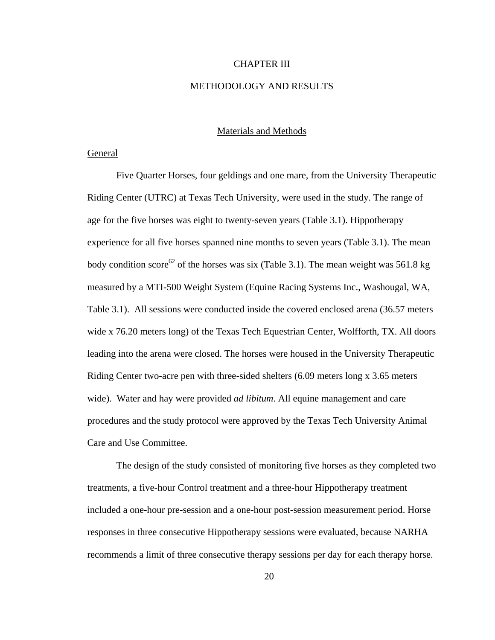#### CHAPTER III

# METHODOLOGY AND RESULTS

## Materials and Methods

#### General

 Five Quarter Horses, four geldings and one mare, from the University Therapeutic Riding Center (UTRC) at Texas Tech University, were used in the study. The range of age for the five horses was eight to twenty-seven years (Table 3.1). Hippotherapy experience for all five horses spanned nine months to seven years (Table 3.1). The mean body condition score<sup>62</sup> of the horses was six (Table 3.1). The mean weight was 561.8 kg measured by a MTI-500 Weight System (Equine Racing Systems Inc., Washougal, WA, Table 3.1). All sessions were conducted inside the covered enclosed arena (36.57 meters wide x 76.20 meters long) of the Texas Tech Equestrian Center, Wolfforth, TX. All doors leading into the arena were closed. The horses were housed in the University Therapeutic Riding Center two-acre pen with three-sided shelters (6.09 meters long x 3.65 meters wide). Water and hay were provided *ad libitum*. All equine management and care procedures and the study protocol were approved by the Texas Tech University Animal Care and Use Committee.

The design of the study consisted of monitoring five horses as they completed two treatments, a five-hour Control treatment and a three-hour Hippotherapy treatment included a one-hour pre-session and a one-hour post-session measurement period. Horse responses in three consecutive Hippotherapy sessions were evaluated, because NARHA recommends a limit of three consecutive therapy sessions per day for each therapy horse.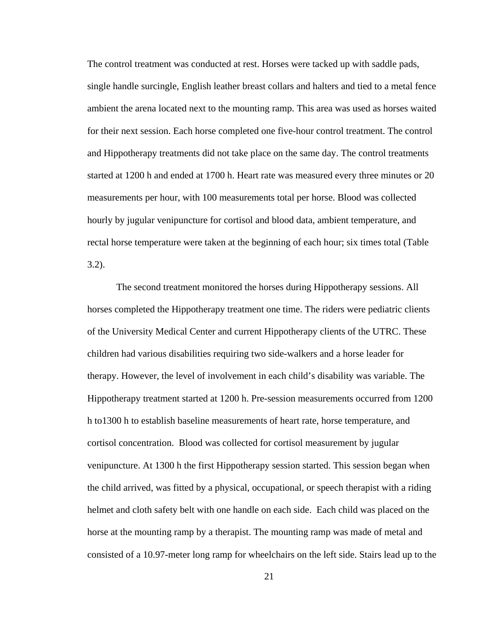The control treatment was conducted at rest. Horses were tacked up with saddle pads, single handle surcingle, English leather breast collars and halters and tied to a metal fence ambient the arena located next to the mounting ramp. This area was used as horses waited for their next session. Each horse completed one five-hour control treatment. The control and Hippotherapy treatments did not take place on the same day. The control treatments started at 1200 h and ended at 1700 h. Heart rate was measured every three minutes or 20 measurements per hour, with 100 measurements total per horse. Blood was collected hourly by jugular venipuncture for cortisol and blood data, ambient temperature, and rectal horse temperature were taken at the beginning of each hour; six times total (Table 3.2).

 The second treatment monitored the horses during Hippotherapy sessions. All horses completed the Hippotherapy treatment one time. The riders were pediatric clients of the University Medical Center and current Hippotherapy clients of the UTRC. These children had various disabilities requiring two side-walkers and a horse leader for therapy. However, the level of involvement in each child's disability was variable. The Hippotherapy treatment started at 1200 h. Pre-session measurements occurred from 1200 h to1300 h to establish baseline measurements of heart rate, horse temperature, and cortisol concentration. Blood was collected for cortisol measurement by jugular venipuncture. At 1300 h the first Hippotherapy session started. This session began when the child arrived, was fitted by a physical, occupational, or speech therapist with a riding helmet and cloth safety belt with one handle on each side. Each child was placed on the horse at the mounting ramp by a therapist. The mounting ramp was made of metal and consisted of a 10.97-meter long ramp for wheelchairs on the left side. Stairs lead up to the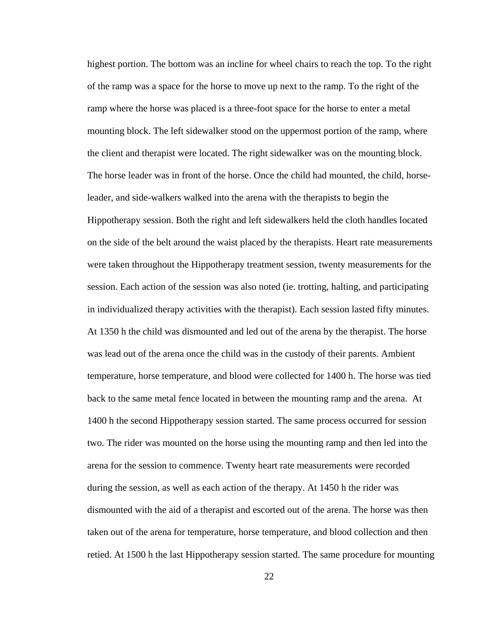highest portion. The bottom was an incline for wheel chairs to reach the top. To the right of the ramp was a space for the horse to move up next to the ramp. To the right of the ramp where the horse was placed is a three-foot space for the horse to enter a metal mounting block. The left sidewalker stood on the uppermost portion of the ramp, where the client and therapist were located. The right sidewalker was on the mounting block. The horse leader was in front of the horse. Once the child had mounted, the child, horseleader, and side-walkers walked into the arena with the therapists to begin the Hippotherapy session. Both the right and left sidewalkers held the cloth handles located on the side of the belt around the waist placed by the therapists. Heart rate measurements were taken throughout the Hippotherapy treatment session, twenty measurements for the session. Each action of the session was also noted (ie. trotting, halting, and participating in individualized therapy activities with the therapist). Each session lasted fifty minutes. At 1350 h the child was dismounted and led out of the arena by the therapist. The horse was lead out of the arena once the child was in the custody of their parents. Ambient temperature, horse temperature, and blood were collected for 1400 h. The horse was tied back to the same metal fence located in between the mounting ramp and the arena. At 1400 h the second Hippotherapy session started. The same process occurred for session two. The rider was mounted on the horse using the mounting ramp and then led into the arena for the session to commence. Twenty heart rate measurements were recorded during the session, as well as each action of the therapy. At 1450 h the rider was dismounted with the aid of a therapist and escorted out of the arena. The horse was then taken out of the arena for temperature, horse temperature, and blood collection and then retied. At 1500 h the last Hippotherapy session started. The same procedure for mounting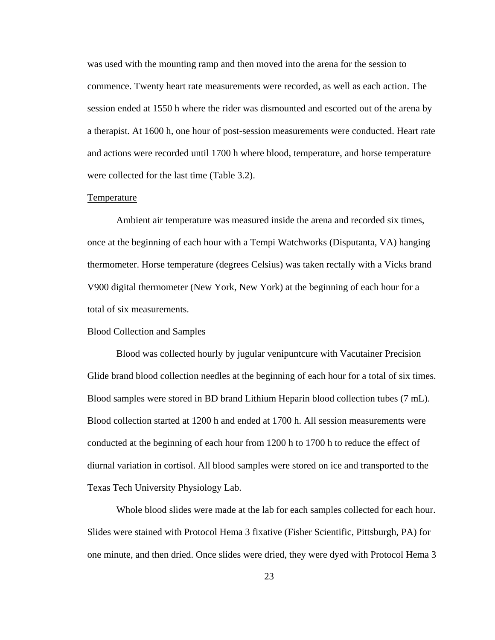was used with the mounting ramp and then moved into the arena for the session to commence. Twenty heart rate measurements were recorded, as well as each action. The session ended at 1550 h where the rider was dismounted and escorted out of the arena by a therapist. At 1600 h, one hour of post-session measurements were conducted. Heart rate and actions were recorded until 1700 h where blood, temperature, and horse temperature were collected for the last time (Table 3.2).

#### Temperature

 Ambient air temperature was measured inside the arena and recorded six times, once at the beginning of each hour with a Tempi Watchworks (Disputanta, VA) hanging thermometer. Horse temperature (degrees Celsius) was taken rectally with a Vicks brand V900 digital thermometer (New York, New York) at the beginning of each hour for a total of six measurements.

#### Blood Collection and Samples

Blood was collected hourly by jugular venipuntcure with Vacutainer Precision Glide brand blood collection needles at the beginning of each hour for a total of six times. Blood samples were stored in BD brand Lithium Heparin blood collection tubes (7 mL). Blood collection started at 1200 h and ended at 1700 h. All session measurements were conducted at the beginning of each hour from 1200 h to 1700 h to reduce the effect of diurnal variation in cortisol. All blood samples were stored on ice and transported to the Texas Tech University Physiology Lab.

Whole blood slides were made at the lab for each samples collected for each hour. Slides were stained with Protocol Hema 3 fixative (Fisher Scientific, Pittsburgh, PA) for one minute, and then dried. Once slides were dried, they were dyed with Protocol Hema 3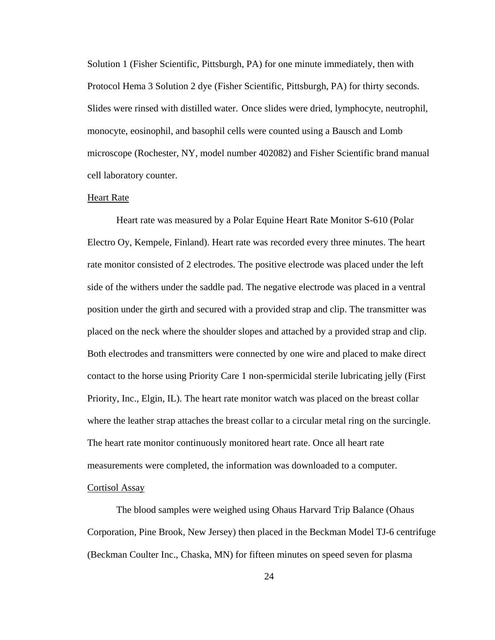Solution 1 (Fisher Scientific, Pittsburgh, PA) for one minute immediately, then with Protocol Hema 3 Solution 2 dye (Fisher Scientific, Pittsburgh, PA) for thirty seconds. Slides were rinsed with distilled water. Once slides were dried, lymphocyte, neutrophil, monocyte, eosinophil, and basophil cells were counted using a Bausch and Lomb microscope (Rochester, NY, model number 402082) and Fisher Scientific brand manual cell laboratory counter.

#### Heart Rate

Heart rate was measured by a Polar Equine Heart Rate Monitor S-610 (Polar Electro Oy, Kempele, Finland). Heart rate was recorded every three minutes. The heart rate monitor consisted of 2 electrodes. The positive electrode was placed under the left side of the withers under the saddle pad. The negative electrode was placed in a ventral position under the girth and secured with a provided strap and clip. The transmitter was placed on the neck where the shoulder slopes and attached by a provided strap and clip. Both electrodes and transmitters were connected by one wire and placed to make direct contact to the horse using Priority Care 1 non-spermicidal sterile lubricating jelly (First Priority, Inc., Elgin, IL). The heart rate monitor watch was placed on the breast collar where the leather strap attaches the breast collar to a circular metal ring on the surcingle. The heart rate monitor continuously monitored heart rate. Once all heart rate measurements were completed, the information was downloaded to a computer. Cortisol Assay

 The blood samples were weighed using Ohaus Harvard Trip Balance (Ohaus Corporation, Pine Brook, New Jersey) then placed in the Beckman Model TJ-6 centrifuge (Beckman Coulter Inc., Chaska, MN) for fifteen minutes on speed seven for plasma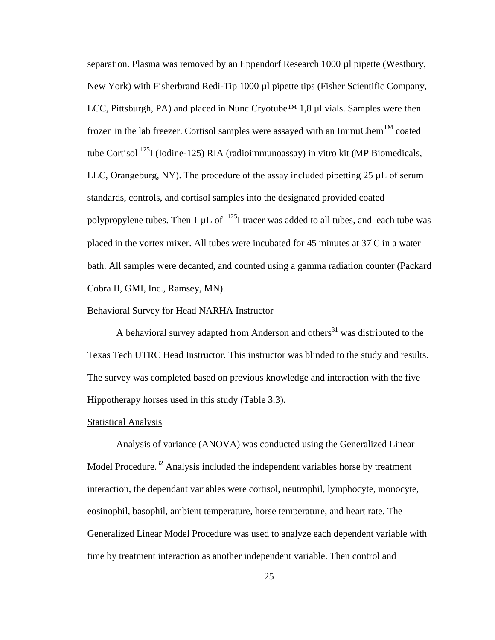separation. Plasma was removed by an Eppendorf Research 1000 µl pipette (Westbury, New York) with Fisherbrand Redi-Tip 1000 µl pipette tips (Fisher Scientific Company, LCC, Pittsburgh, PA) and placed in Nunc Cryotube<sup>™</sup> 1,8 µl vials. Samples were then frozen in the lab freezer. Cortisol samples were assayed with an ImmuChem<sup>TM</sup> coated tube Cortisol  $^{125}$ I (Iodine-125) RIA (radioimmunoassay) in vitro kit (MP Biomedicals, LLC, Orangeburg, NY). The procedure of the assay included pipetting 25 µL of serum standards, controls, and cortisol samples into the designated provided coated polypropylene tubes. Then 1  $\mu$ L of  $^{125}$ I tracer was added to all tubes, and each tube was placed in the vortex mixer. All tubes were incubated for 45 minutes at 37°C in a water bath. All samples were decanted, and counted using a gamma radiation counter (Packard Cobra II, GMI, Inc., Ramsey, MN).

# Behavioral Survey for Head NARHA Instructor

A behavioral survey adapted from Anderson and others<sup>31</sup> was distributed to the Texas Tech UTRC Head Instructor. This instructor was blinded to the study and results. The survey was completed based on previous knowledge and interaction with the five Hippotherapy horses used in this study (Table 3.3).

#### **Statistical Analysis**

 Analysis of variance (ANOVA) was conducted using the Generalized Linear Model Procedure.<sup>32</sup> Analysis included the independent variables horse by treatment interaction, the dependant variables were cortisol, neutrophil, lymphocyte, monocyte, eosinophil, basophil, ambient temperature, horse temperature, and heart rate. The Generalized Linear Model Procedure was used to analyze each dependent variable with time by treatment interaction as another independent variable. Then control and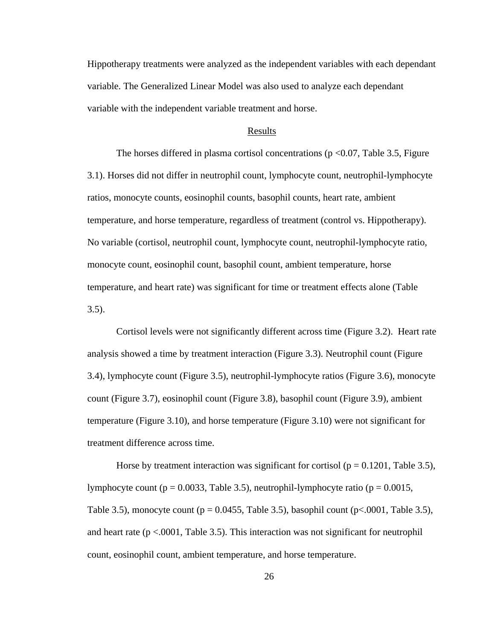Hippotherapy treatments were analyzed as the independent variables with each dependant variable. The Generalized Linear Model was also used to analyze each dependant variable with the independent variable treatment and horse.

#### Results

The horses differed in plasma cortisol concentrations ( $p < 0.07$ , Table 3.5, Figure 3.1). Horses did not differ in neutrophil count, lymphocyte count, neutrophil-lymphocyte ratios, monocyte counts, eosinophil counts, basophil counts, heart rate, ambient temperature, and horse temperature, regardless of treatment (control vs. Hippotherapy). No variable (cortisol, neutrophil count, lymphocyte count, neutrophil-lymphocyte ratio, monocyte count, eosinophil count, basophil count, ambient temperature, horse temperature, and heart rate) was significant for time or treatment effects alone (Table 3.5).

 Cortisol levels were not significantly different across time (Figure 3.2). Heart rate analysis showed a time by treatment interaction (Figure 3.3). Neutrophil count (Figure 3.4), lymphocyte count (Figure 3.5), neutrophil-lymphocyte ratios (Figure 3.6), monocyte count (Figure 3.7), eosinophil count (Figure 3.8), basophil count (Figure 3.9), ambient temperature (Figure 3.10), and horse temperature (Figure 3.10) were not significant for treatment difference across time.

Horse by treatment interaction was significant for cortisol ( $p = 0.1201$ , Table 3.5), lymphocyte count ( $p = 0.0033$ , Table 3.5), neutrophil-lymphocyte ratio ( $p = 0.0015$ , Table 3.5), monocyte count ( $p = 0.0455$ , Table 3.5), basophil count ( $p < 0.001$ , Table 3.5), and heart rate  $(p < .0001,$  Table 3.5). This interaction was not significant for neutrophil count, eosinophil count, ambient temperature, and horse temperature.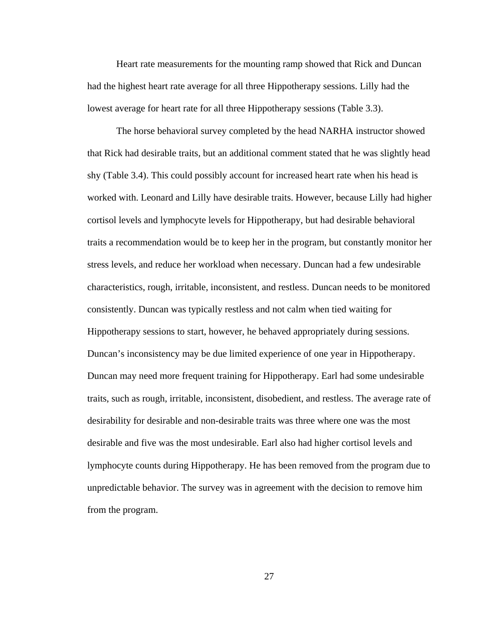Heart rate measurements for the mounting ramp showed that Rick and Duncan had the highest heart rate average for all three Hippotherapy sessions. Lilly had the lowest average for heart rate for all three Hippotherapy sessions (Table 3.3).

 The horse behavioral survey completed by the head NARHA instructor showed that Rick had desirable traits, but an additional comment stated that he was slightly head shy (Table 3.4). This could possibly account for increased heart rate when his head is worked with. Leonard and Lilly have desirable traits. However, because Lilly had higher cortisol levels and lymphocyte levels for Hippotherapy, but had desirable behavioral traits a recommendation would be to keep her in the program, but constantly monitor her stress levels, and reduce her workload when necessary. Duncan had a few undesirable characteristics, rough, irritable, inconsistent, and restless. Duncan needs to be monitored consistently. Duncan was typically restless and not calm when tied waiting for Hippotherapy sessions to start, however, he behaved appropriately during sessions. Duncan's inconsistency may be due limited experience of one year in Hippotherapy. Duncan may need more frequent training for Hippotherapy. Earl had some undesirable traits, such as rough, irritable, inconsistent, disobedient, and restless. The average rate of desirability for desirable and non-desirable traits was three where one was the most desirable and five was the most undesirable. Earl also had higher cortisol levels and lymphocyte counts during Hippotherapy. He has been removed from the program due to unpredictable behavior. The survey was in agreement with the decision to remove him from the program.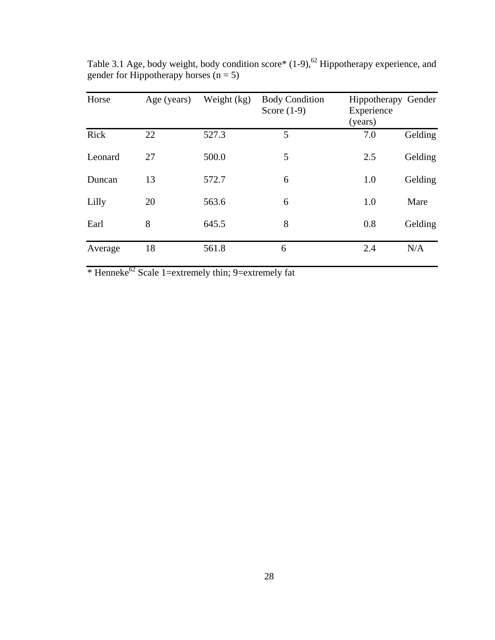| Horse   | Age (years) | Weight (kg) | <b>Body Condition</b><br>Score $(1-9)$ | Hippotherapy Gender<br>Experience<br>(years) |         |
|---------|-------------|-------------|----------------------------------------|----------------------------------------------|---------|
| Rick    | 22          | 527.3       | 5                                      | 7.0                                          | Gelding |
| Leonard | 27          | 500.0       | 5                                      | 2.5                                          | Gelding |
| Duncan  | 13          | 572.7       | 6                                      | 1.0                                          | Gelding |
| Lilly   | 20          | 563.6       | 6                                      | 1.0                                          | Mare    |
| Earl    | 8           | 645.5       | 8                                      | 0.8                                          | Gelding |
| Average | 18          | 561.8       | 6                                      | 2.4                                          | N/A     |

Table 3.1 Age, body weight, body condition score\*  $(1-9)$ ,  $62$  Hippotherapy experience, and gender for Hippotherapy horses  $(n = 5)$ 

\* Henneke62 Scale 1=extremely thin; 9=extremely fat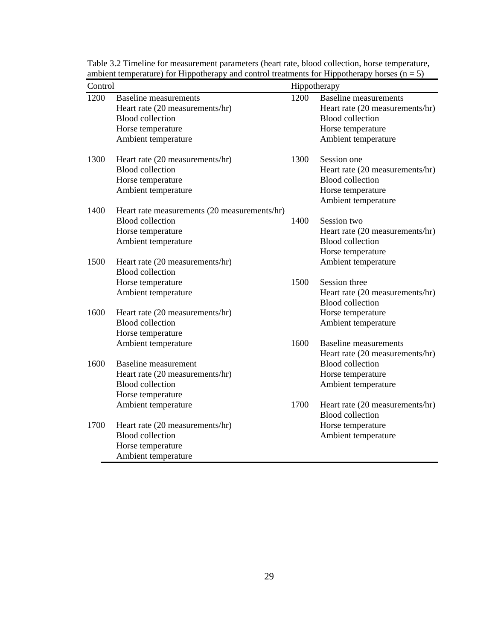| Hippotherapy                                                                                                                           |
|----------------------------------------------------------------------------------------------------------------------------------------|
| <b>Baseline</b> measurements<br>Heart rate (20 measurements/hr)<br><b>Blood collection</b><br>Horse temperature<br>Ambient temperature |
| Session one<br>Heart rate (20 measurements/hr)<br><b>Blood collection</b><br>Horse temperature<br>Ambient temperature                  |
| Session two<br>Heart rate (20 measurements/hr)<br><b>Blood collection</b><br>Horse temperature                                         |
| Ambient temperature<br>Session three<br>Heart rate (20 measurements/hr)<br><b>Blood</b> collection                                     |
| Horse temperature<br>Ambient temperature<br><b>Baseline</b> measurements<br>Heart rate (20 measurements/hr)                            |
| <b>Blood</b> collection<br>Horse temperature<br>Ambient temperature                                                                    |
| Heart rate (20 measurements/hr)<br><b>Blood</b> collection<br>Horse temperature<br>Ambient temperature                                 |
|                                                                                                                                        |

Table 3.2 Timeline for measurement parameters (heart rate, blood collection, horse temperature, ambient temperature) for Hippotherapy and control treatments for Hippotherapy horses  $(n = 5)$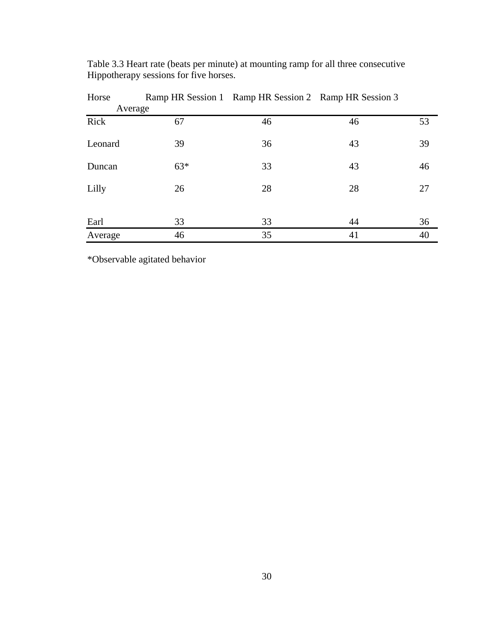| Horse   |       | Ramp HR Session 1 Ramp HR Session 2 Ramp HR Session 3 |    |    |
|---------|-------|-------------------------------------------------------|----|----|
| Average |       |                                                       |    |    |
| Rick    | 67    | 46                                                    | 46 | 53 |
| Leonard | 39    | 36                                                    | 43 | 39 |
| Duncan  | $63*$ | 33                                                    | 43 | 46 |
| Lilly   | 26    | 28                                                    | 28 | 27 |
| Earl    | 33    | 33                                                    | 44 | 36 |
| Average | 46    | 35                                                    | 41 | 40 |

Table 3.3 Heart rate (beats per minute) at mounting ramp for all three consecutive Hippotherapy sessions for five horses.

\*Observable agitated behavior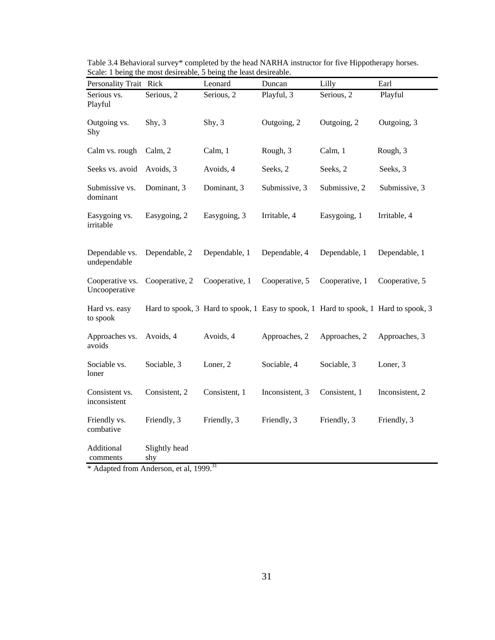| Personality Trait Rick           |                      | Leonard                                                                              | Duncan          | Lilly          | Earl            |
|----------------------------------|----------------------|--------------------------------------------------------------------------------------|-----------------|----------------|-----------------|
| Serious vs.<br>Playful           | Serious, 2           | Serious, 2                                                                           | Playful, 3      | Serious, 2     | Playful         |
| Outgoing vs.<br>Shy              | Shy, $3$             | Shy, 3                                                                               | Outgoing, 2     | Outgoing, 2    | Outgoing, 3     |
| Calm vs. rough                   | Calm, 2              | Calm, 1                                                                              | Rough, 3        | Calm, 1        | Rough, 3        |
| Seeks vs. avoid                  | Avoids, 3            | Avoids, 4                                                                            | Seeks, 2        | Seeks, 2       | Seeks, 3        |
| Submissive vs.<br>dominant       | Dominant, 3          | Dominant, 3                                                                          | Submissive, 3   | Submissive, 2  | Submissive, 3   |
| Easygoing vs.<br>irritable       | Easygoing, 2         | Easygoing, 3                                                                         | Irritable, 4    | Easygoing, 1   | Irritable, 4    |
| Dependable vs.<br>undependable   | Dependable, 2        | Dependable, 1                                                                        | Dependable, 4   | Dependable, 1  | Dependable, 1   |
| Cooperative vs.<br>Uncooperative | Cooperative, 2       | Cooperative, 1                                                                       | Cooperative, 5  | Cooperative, 1 | Cooperative, 5  |
| Hard vs. easy<br>to spook        |                      | Hard to spook, 3 Hard to spook, 1 Easy to spook, 1 Hard to spook, 1 Hard to spook, 3 |                 |                |                 |
| Approaches vs.<br>avoids         | Avoids, 4            | Avoids, 4                                                                            | Approaches, 2   | Approaches, 2  | Approaches, 3   |
| Sociable vs.<br>loner            | Sociable, 3          | Loner, 2                                                                             | Sociable, 4     | Sociable, 3    | Loner, 3        |
| Consistent vs.<br>inconsistent   | Consistent, 2        | Consistent, 1                                                                        | Inconsistent, 3 | Consistent, 1  | Inconsistent, 2 |
| Friendly vs.<br>combative        | Friendly, 3          | Friendly, 3                                                                          | Friendly, 3     | Friendly, 3    | Friendly, 3     |
| Additional<br>comments           | Slightly head<br>shy |                                                                                      |                 |                |                 |

Table 3.4 Behavioral survey\* completed by the head NARHA instructor for five Hippotherapy horses. Scale: 1 being the most desireable, 5 being the least desireable.

\* Adapted from Anderson, et al, 1999.<sup>31</sup>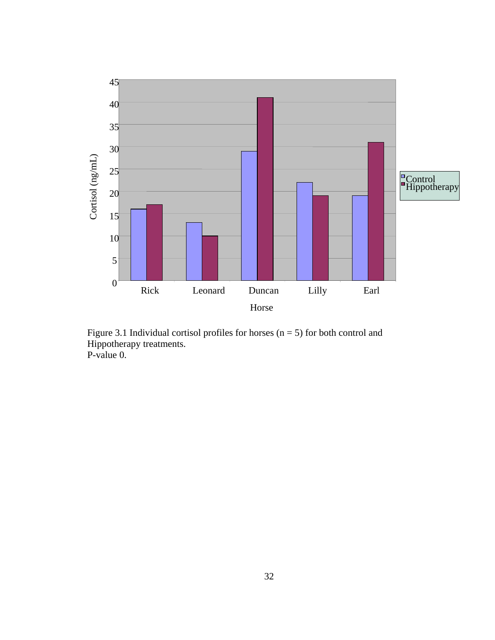

Figure 3.1 Individual cortisol profiles for horses ( $n = 5$ ) for both control and Hippotherapy treatments. P-value 0.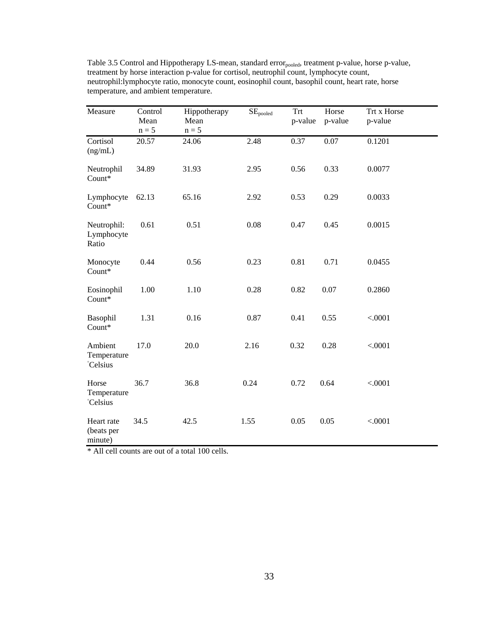| Measure                                         | Control<br>Mean<br>$n = 5$ | Hippotherapy<br>Mean<br>$n = 5$ | $\overline{\text{SE}}_{\text{pooled}}$ | <b>Trt</b><br>p-value | Horse<br>p-value | Trt x Horse<br>p-value |  |
|-------------------------------------------------|----------------------------|---------------------------------|----------------------------------------|-----------------------|------------------|------------------------|--|
| Cortisol<br>(ng/mL)                             | 20.57                      | 24.06                           | 2.48                                   | 0.37                  | $0.07\,$         | 0.1201                 |  |
| Neutrophil<br>Count*                            | 34.89                      | 31.93                           | 2.95                                   | 0.56                  | 0.33             | 0.0077                 |  |
| Lymphocyte<br>Count*                            | 62.13                      | 65.16                           | 2.92                                   | 0.53                  | 0.29             | 0.0033                 |  |
| Neutrophil:<br>Lymphocyte<br>Ratio              | 0.61                       | 0.51                            | 0.08                                   | 0.47                  | 0.45             | 0.0015                 |  |
| Monocyte<br>Count*                              | 0.44                       | 0.56                            | 0.23                                   | 0.81                  | 0.71             | 0.0455                 |  |
| Eosinophil<br>Count*                            | 1.00                       | 1.10                            | 0.28                                   | 0.82                  | 0.07             | 0.2860                 |  |
| Basophil<br>Count*                              | 1.31                       | 0.16                            | 0.87                                   | 0.41                  | 0.55             | < .0001                |  |
| Ambient<br>Temperature<br><i><b>Celsius</b></i> | 17.0                       | 20.0                            | 2.16                                   | 0.32                  | 0.28             | < .0001                |  |
| Horse<br>Temperature<br><i><b>Celsius</b></i>   | 36.7                       | 36.8                            | 0.24                                   | 0.72                  | 0.64             | < .0001                |  |
| Heart rate<br>(beats per<br>minute)             | 34.5                       | 42.5                            | 1.55                                   | 0.05                  | 0.05             | < .0001                |  |

Table 3.5 Control and Hippotherapy LS-mean, standard error<sub>pooled</sub>, treatment p-value, horse p-value, treatment by horse interaction p-value for cortisol, neutrophil count, lymphocyte count, neutrophil:lymphocyte ratio, monocyte count, eosinophil count, basophil count, heart rate, horse temperature, and ambient temperature.

\* All cell counts are out of a total 100 cells.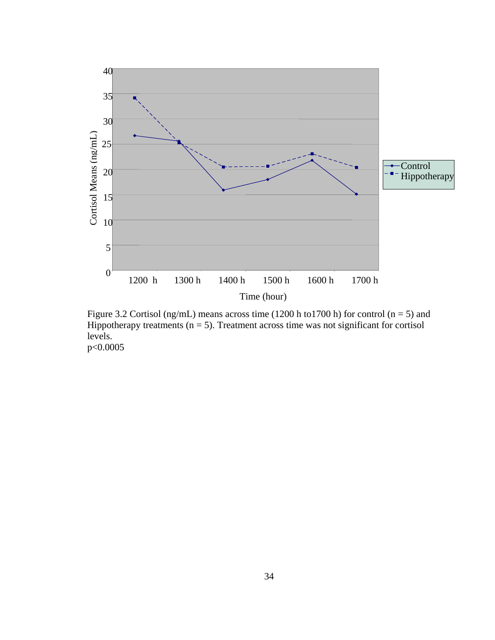

Figure 3.2 Cortisol (ng/mL) means across time (1200 h to1700 h) for control (n = 5) and Hippotherapy treatments  $(n = 5)$ . Treatment across time was not significant for cortisol levels. p<0.0005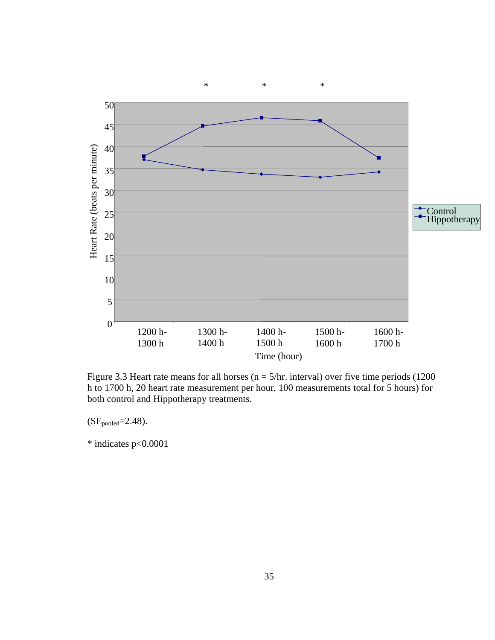

Figure 3.3 Heart rate means for all horses ( $n = 5/hr$ . interval) over five time periods (1200 h to 1700 h, 20 heart rate measurement per hour, 100 measurements total for 5 hours) for both control and Hippotherapy treatments.

 $(SE_{pooled}=2.48).$ 

\* indicates p<0.0001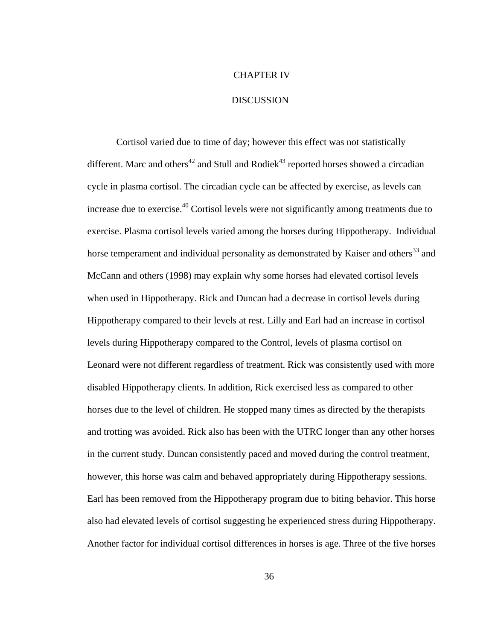## CHAPTER IV

## **DISCUSSION**

Cortisol varied due to time of day; however this effect was not statistically different. Marc and others<sup>42</sup> and Stull and Rodiek<sup>43</sup> reported horses showed a circadian cycle in plasma cortisol. The circadian cycle can be affected by exercise, as levels can increase due to exercise.<sup>40</sup> Cortisol levels were not significantly among treatments due to exercise. Plasma cortisol levels varied among the horses during Hippotherapy. Individual horse temperament and individual personality as demonstrated by Kaiser and others<sup>33</sup> and McCann and others (1998) may explain why some horses had elevated cortisol levels when used in Hippotherapy. Rick and Duncan had a decrease in cortisol levels during Hippotherapy compared to their levels at rest. Lilly and Earl had an increase in cortisol levels during Hippotherapy compared to the Control, levels of plasma cortisol on Leonard were not different regardless of treatment. Rick was consistently used with more disabled Hippotherapy clients. In addition, Rick exercised less as compared to other horses due to the level of children. He stopped many times as directed by the therapists and trotting was avoided. Rick also has been with the UTRC longer than any other horses in the current study. Duncan consistently paced and moved during the control treatment, however, this horse was calm and behaved appropriately during Hippotherapy sessions. Earl has been removed from the Hippotherapy program due to biting behavior. This horse also had elevated levels of cortisol suggesting he experienced stress during Hippotherapy. Another factor for individual cortisol differences in horses is age. Three of the five horses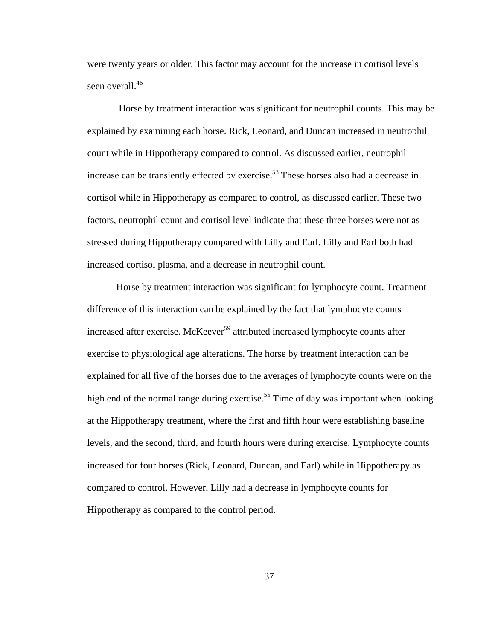were twenty years or older. This factor may account for the increase in cortisol levels seen overall.<sup>46</sup>

 Horse by treatment interaction was significant for neutrophil counts. This may be explained by examining each horse. Rick, Leonard, and Duncan increased in neutrophil count while in Hippotherapy compared to control. As discussed earlier, neutrophil increase can be transiently effected by exercise.<sup>53</sup> These horses also had a decrease in cortisol while in Hippotherapy as compared to control, as discussed earlier. These two factors, neutrophil count and cortisol level indicate that these three horses were not as stressed during Hippotherapy compared with Lilly and Earl. Lilly and Earl both had increased cortisol plasma, and a decrease in neutrophil count.

Horse by treatment interaction was significant for lymphocyte count. Treatment difference of this interaction can be explained by the fact that lymphocyte counts increased after exercise. McKeever<sup>59</sup> attributed increased lymphocyte counts after exercise to physiological age alterations. The horse by treatment interaction can be explained for all five of the horses due to the averages of lymphocyte counts were on the high end of the normal range during exercise.<sup>55</sup> Time of day was important when looking at the Hippotherapy treatment, where the first and fifth hour were establishing baseline levels, and the second, third, and fourth hours were during exercise. Lymphocyte counts increased for four horses (Rick, Leonard, Duncan, and Earl) while in Hippotherapy as compared to control. However, Lilly had a decrease in lymphocyte counts for Hippotherapy as compared to the control period.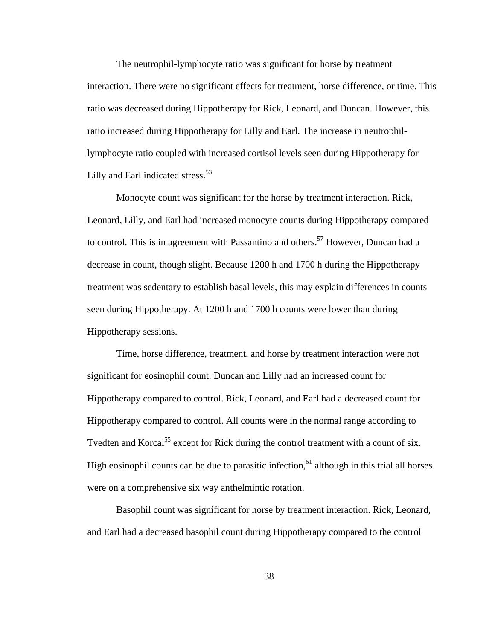The neutrophil-lymphocyte ratio was significant for horse by treatment interaction. There were no significant effects for treatment, horse difference, or time. This ratio was decreased during Hippotherapy for Rick, Leonard, and Duncan. However, this ratio increased during Hippotherapy for Lilly and Earl. The increase in neutrophillymphocyte ratio coupled with increased cortisol levels seen during Hippotherapy for Lilly and Earl indicated stress.<sup>53</sup>

Monocyte count was significant for the horse by treatment interaction. Rick, Leonard, Lilly, and Earl had increased monocyte counts during Hippotherapy compared to control. This is in agreement with Passantino and others.<sup>57</sup> However, Duncan had a decrease in count, though slight. Because 1200 h and 1700 h during the Hippotherapy treatment was sedentary to establish basal levels, this may explain differences in counts seen during Hippotherapy. At 1200 h and 1700 h counts were lower than during Hippotherapy sessions.

Time, horse difference, treatment, and horse by treatment interaction were not significant for eosinophil count. Duncan and Lilly had an increased count for Hippotherapy compared to control. Rick, Leonard, and Earl had a decreased count for Hippotherapy compared to control. All counts were in the normal range according to Tvedten and Korcal<sup>55</sup> except for Rick during the control treatment with a count of six. High eosinophil counts can be due to parasitic infection,<sup>61</sup> although in this trial all horses were on a comprehensive six way anthelmintic rotation.

Basophil count was significant for horse by treatment interaction. Rick, Leonard, and Earl had a decreased basophil count during Hippotherapy compared to the control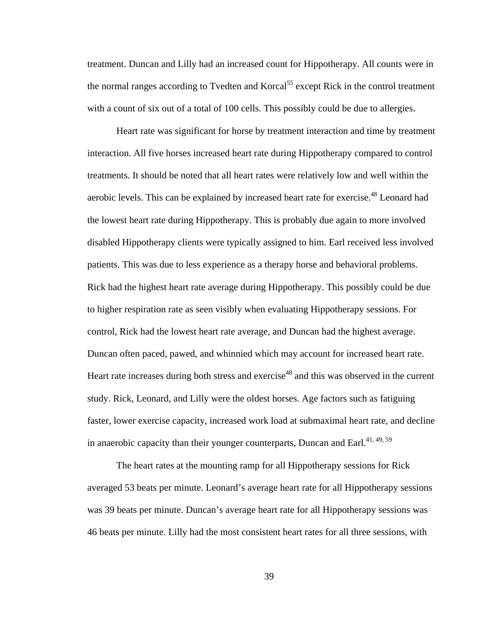treatment. Duncan and Lilly had an increased count for Hippotherapy. All counts were in the normal ranges according to Tvedten and Korcal<sup>55</sup> except Rick in the control treatment with a count of six out of a total of 100 cells. This possibly could be due to allergies.

Heart rate was significant for horse by treatment interaction and time by treatment interaction. All five horses increased heart rate during Hippotherapy compared to control treatments. It should be noted that all heart rates were relatively low and well within the aerobic levels. This can be explained by increased heart rate for exercise.<sup>48</sup> Leonard had the lowest heart rate during Hippotherapy. This is probably due again to more involved disabled Hippotherapy clients were typically assigned to him. Earl received less involved patients. This was due to less experience as a therapy horse and behavioral problems. Rick had the highest heart rate average during Hippotherapy. This possibly could be due to higher respiration rate as seen visibly when evaluating Hippotherapy sessions. For control, Rick had the lowest heart rate average, and Duncan had the highest average. Duncan often paced, pawed, and whinnied which may account for increased heart rate. Heart rate increases during both stress and exercise<sup>48</sup> and this was observed in the current study. Rick, Leonard, and Lilly were the oldest horses. Age factors such as fatiguing faster, lower exercise capacity, increased work load at submaximal heart rate, and decline in anaerobic capacity than their younger counterparts, Duncan and Earl.<sup>41, 49, 59</sup>

The heart rates at the mounting ramp for all Hippotherapy sessions for Rick averaged 53 beats per minute. Leonard's average heart rate for all Hippotherapy sessions was 39 beats per minute. Duncan's average heart rate for all Hippotherapy sessions was 46 beats per minute. Lilly had the most consistent heart rates for all three sessions, with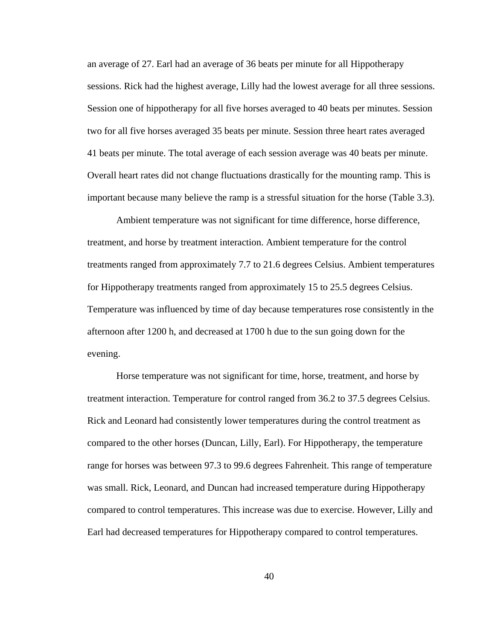an average of 27. Earl had an average of 36 beats per minute for all Hippotherapy sessions. Rick had the highest average, Lilly had the lowest average for all three sessions. Session one of hippotherapy for all five horses averaged to 40 beats per minutes. Session two for all five horses averaged 35 beats per minute. Session three heart rates averaged 41 beats per minute. The total average of each session average was 40 beats per minute. Overall heart rates did not change fluctuations drastically for the mounting ramp. This is important because many believe the ramp is a stressful situation for the horse (Table 3.3).

Ambient temperature was not significant for time difference, horse difference, treatment, and horse by treatment interaction. Ambient temperature for the control treatments ranged from approximately 7.7 to 21.6 degrees Celsius. Ambient temperatures for Hippotherapy treatments ranged from approximately 15 to 25.5 degrees Celsius. Temperature was influenced by time of day because temperatures rose consistently in the afternoon after 1200 h, and decreased at 1700 h due to the sun going down for the evening.

Horse temperature was not significant for time, horse, treatment, and horse by treatment interaction. Temperature for control ranged from 36.2 to 37.5 degrees Celsius. Rick and Leonard had consistently lower temperatures during the control treatment as compared to the other horses (Duncan, Lilly, Earl). For Hippotherapy, the temperature range for horses was between 97.3 to 99.6 degrees Fahrenheit. This range of temperature was small. Rick, Leonard, and Duncan had increased temperature during Hippotherapy compared to control temperatures. This increase was due to exercise. However, Lilly and Earl had decreased temperatures for Hippotherapy compared to control temperatures.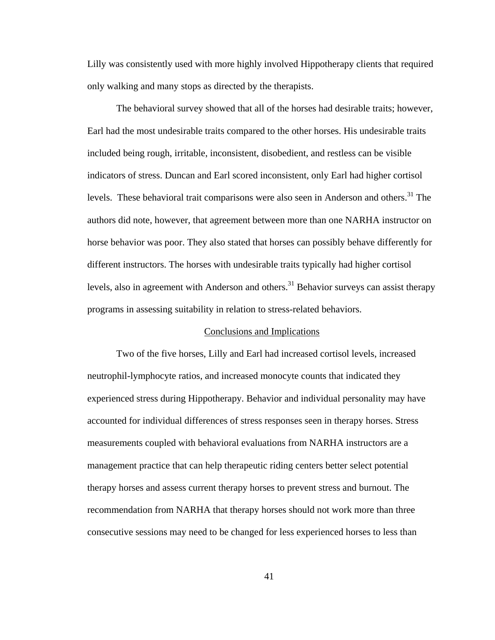Lilly was consistently used with more highly involved Hippotherapy clients that required only walking and many stops as directed by the therapists.

The behavioral survey showed that all of the horses had desirable traits; however, Earl had the most undesirable traits compared to the other horses. His undesirable traits included being rough, irritable, inconsistent, disobedient, and restless can be visible indicators of stress. Duncan and Earl scored inconsistent, only Earl had higher cortisol levels. These behavioral trait comparisons were also seen in Anderson and others.<sup>31</sup> The authors did note, however, that agreement between more than one NARHA instructor on horse behavior was poor. They also stated that horses can possibly behave differently for different instructors. The horses with undesirable traits typically had higher cortisol levels, also in agreement with Anderson and others.<sup>31</sup> Behavior surveys can assist therapy programs in assessing suitability in relation to stress-related behaviors.

## Conclusions and Implications

Two of the five horses, Lilly and Earl had increased cortisol levels, increased neutrophil-lymphocyte ratios, and increased monocyte counts that indicated they experienced stress during Hippotherapy. Behavior and individual personality may have accounted for individual differences of stress responses seen in therapy horses. Stress measurements coupled with behavioral evaluations from NARHA instructors are a management practice that can help therapeutic riding centers better select potential therapy horses and assess current therapy horses to prevent stress and burnout. The recommendation from NARHA that therapy horses should not work more than three consecutive sessions may need to be changed for less experienced horses to less than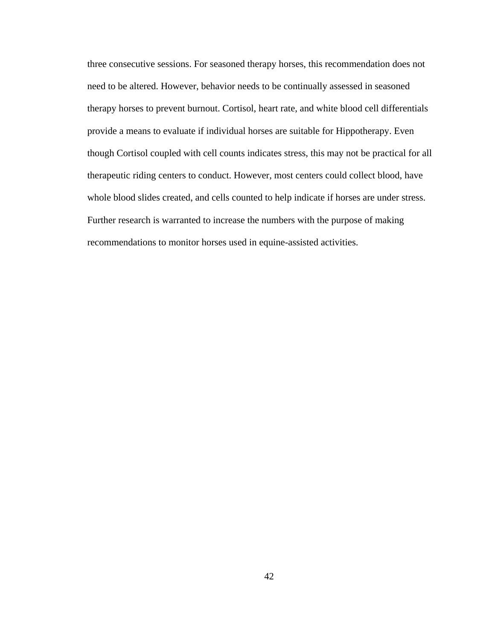three consecutive sessions. For seasoned therapy horses, this recommendation does not need to be altered. However, behavior needs to be continually assessed in seasoned therapy horses to prevent burnout. Cortisol, heart rate, and white blood cell differentials provide a means to evaluate if individual horses are suitable for Hippotherapy. Even though Cortisol coupled with cell counts indicates stress, this may not be practical for all therapeutic riding centers to conduct. However, most centers could collect blood, have whole blood slides created, and cells counted to help indicate if horses are under stress. Further research is warranted to increase the numbers with the purpose of making recommendations to monitor horses used in equine-assisted activities.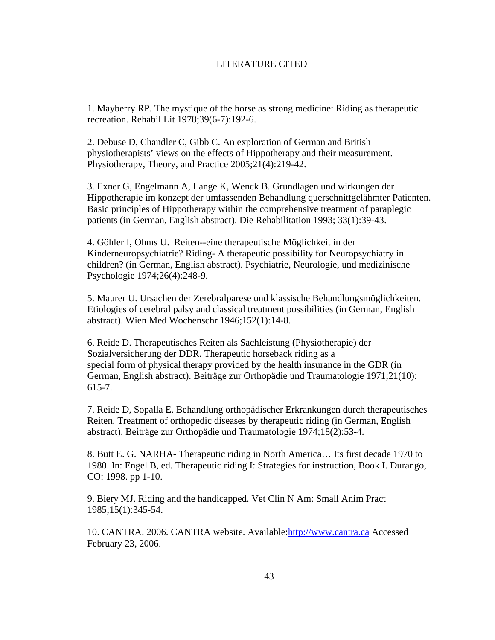# LITERATURE CITED

1. Mayberry RP. The mystique of the horse as strong medicine: Riding as therapeutic recreation. Rehabil Lit 1978;39(6-7):192-6.

2. Debuse D, Chandler C, Gibb C. An exploration of German and British physiotherapists' views on the effects of Hippotherapy and their measurement. Physiotherapy, Theory, and Practice 2005;21(4):219-42.

3. Exner G, Engelmann A, Lange K, Wenck B. Grundlagen und wirkungen der Hippotherapie im konzept der umfassenden Behandlung querschnittgelähmter Patienten. Basic principles of Hippotherapy within the comprehensive treatment of paraplegic patients (in German, English abstract). Die Rehabilitation 1993; 33(1):39-43.

4. Göhler I, Ohms U. Reiten--eine therapeutische Möglichkeit in der Kinderneuropsychiatrie? Riding- A therapeutic possibility for Neuropsychiatry in children? (in German, English abstract). Psychiatrie, Neurologie, und medizinische Psychologie 1974;26(4):248-9.

5. Maurer U. Ursachen der Zerebralparese und klassische Behandlungsmöglichkeiten. Etiologies of cerebral palsy and classical treatment possibilities (in German, English abstract). Wien Med Wochenschr 1946;152(1):14-8.

6. Reide D. Therapeutisches Reiten als Sachleistung (Physiotherapie) der Sozialversicherung der DDR. Therapeutic horseback riding as a special form of physical therapy provided by the health insurance in the GDR (in German, English abstract). Beiträge zur Orthopädie und Traumatologie 1971;21(10): 615-7.

7. Reide D, Sopalla E. Behandlung orthopädischer Erkrankungen durch therapeutisches Reiten. Treatment of orthopedic diseases by therapeutic riding (in German, English abstract). Beiträge zur Orthopädie und Traumatologie 1974;18(2):53-4.

8. Butt E. G. NARHA- Therapeutic riding in North America… Its first decade 1970 to 1980. In: Engel B, ed. Therapeutic riding I: Strategies for instruction, Book I. Durango, CO: 1998. pp 1-10.

9. Biery MJ. Riding and the handicapped. Vet Clin N Am: Small Anim Pract 1985;15(1):345-54.

10. CANTRA. 2006. CANTRA website. Available:http://www.cantra.ca Accessed February 23, 2006.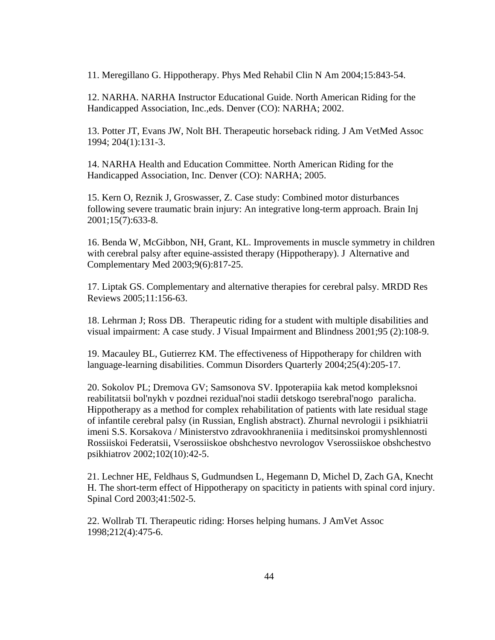11. Meregillano G. Hippotherapy. Phys Med Rehabil Clin N Am 2004;15:843-54.

12. NARHA. NARHA Instructor Educational Guide. North American Riding for the Handicapped Association, Inc.,eds. Denver (CO): NARHA; 2002.

13. Potter JT, Evans JW, Nolt BH. Therapeutic horseback riding. J Am VetMed Assoc 1994; 204(1):131-3.

14. NARHA Health and Education Committee. North American Riding for the Handicapped Association, Inc. Denver (CO): NARHA; 2005.

15. Kern O, Reznik J, Groswasser, Z. Case study: Combined motor disturbances following severe traumatic brain injury: An integrative long-term approach. Brain Inj 2001;15(7):633-8.

16. Benda W, McGibbon, NH, Grant, KL. Improvements in muscle symmetry in children with cerebral palsy after equine-assisted therapy (Hippotherapy). J Alternative and Complementary Med 2003;9(6):817-25.

17. Liptak GS. Complementary and alternative therapies for cerebral palsy. MRDD Res Reviews 2005;11:156-63.

18. Lehrman J; Ross DB. Therapeutic riding for a student with multiple disabilities and visual impairment: A case study. J Visual Impairment and Blindness 2001;95 (2):108-9.

19. Macauley BL, Gutierrez KM. The effectiveness of Hippotherapy for children with language-learning disabilities. Commun Disorders Quarterly 2004;25(4):205-17.

20. Sokolov PL; Dremova GV; Samsonova SV. Ippoterapiia kak metod kompleksnoi reabilitatsii bol'nykh v pozdnei rezidual'noi stadii detskogo tserebral'nogo paralicha. Hippotherapy as a method for complex rehabilitation of patients with late residual stage of infantile cerebral palsy (in Russian, English abstract). Zhurnal nevrologii i psikhiatrii imeni S.S. Korsakova / Ministerstvo zdravookhraneniia i meditsinskoi promyshlennosti Rossiiskoi Federatsii, Vserossiiskoe obshchestvo nevrologov Vserossiiskoe obshchestvo psikhiatrov 2002;102(10):42-5.

21. Lechner HE, Feldhaus S, Gudmundsen L, Hegemann D, Michel D, Zach GA, Knecht H. The short-term effect of Hippotherapy on spaciticty in patients with spinal cord injury. Spinal Cord 2003;41:502-5.

22. Wollrab TI. Therapeutic riding: Horses helping humans. J AmVet Assoc 1998;212(4):475-6.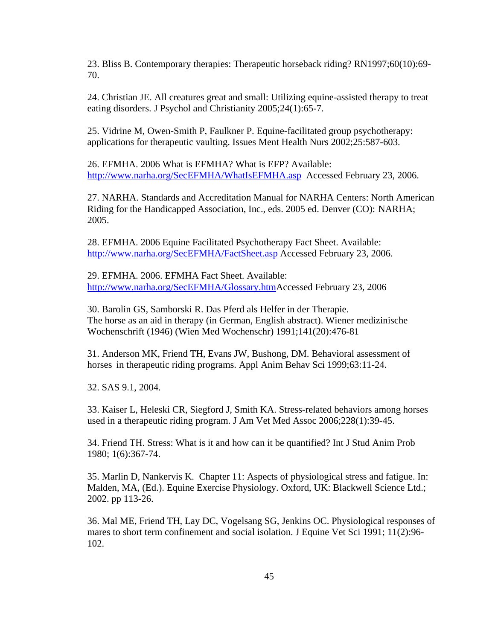23. Bliss B. Contemporary therapies: Therapeutic horseback riding? RN1997;60(10):69- 70.

24. Christian JE. All creatures great and small: Utilizing equine-assisted therapy to treat eating disorders. J Psychol and Christianity 2005;24(1):65-7.

25. Vidrine M, Owen-Smith P, Faulkner P. Equine-facilitated group psychotherapy: applications for therapeutic vaulting. Issues Ment Health Nurs 2002;25:587-603.

26. EFMHA. 2006 What is EFMHA? What is EFP? Available: http://www.narha.org/SecEFMHA/WhatIsEFMHA.asp Accessed February 23, 2006.

27. NARHA. Standards and Accreditation Manual for NARHA Centers: North American Riding for the Handicapped Association, Inc., eds. 2005 ed. Denver (CO): NARHA; 2005.

28. EFMHA. 2006 Equine Facilitated Psychotherapy Fact Sheet. Available: http://www.narha.org/SecEFMHA/FactSheet.asp Accessed February 23, 2006.

29. EFMHA. 2006. EFMHA Fact Sheet. Available: http://www.narha.org/SecEFMHA/Glossary.htmAccessed February 23, 2006

30. Barolin GS, Samborski R. Das Pferd als Helfer in der Therapie. The horse as an aid in therapy (in German, English abstract). Wiener medizinische Wochenschrift (1946) (Wien Med Wochenschr) 1991;141(20):476-81

31. Anderson MK, Friend TH, Evans JW, Bushong, DM. Behavioral assessment of horses in therapeutic riding programs. Appl Anim Behav Sci 1999;63:11-24.

32. SAS 9.1, 2004.

33. Kaiser L, Heleski CR, Siegford J, Smith KA. Stress-related behaviors among horses used in a therapeutic riding program. J Am Vet Med Assoc 2006;228(1):39-45.

34. Friend TH. Stress: What is it and how can it be quantified? Int J Stud Anim Prob 1980; 1(6):367-74.

35. Marlin D, Nankervis K. Chapter 11: Aspects of physiological stress and fatigue. In: Malden, MA, (Ed.). Equine Exercise Physiology. Oxford, UK: Blackwell Science Ltd.; 2002. pp 113-26.

36. Mal ME, Friend TH, Lay DC, Vogelsang SG, Jenkins OC. Physiological responses of mares to short term confinement and social isolation. J Equine Vet Sci 1991; 11(2):96- 102.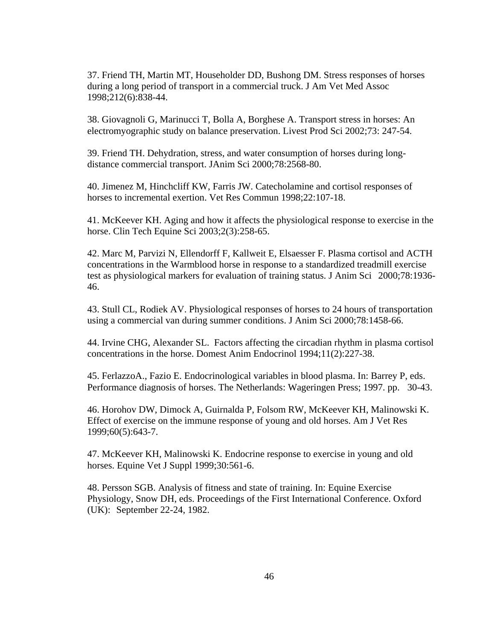37. Friend TH, Martin MT, Householder DD, Bushong DM. Stress responses of horses during a long period of transport in a commercial truck. J Am Vet Med Assoc 1998;212(6):838-44.

38. Giovagnoli G, Marinucci T, Bolla A, Borghese A. Transport stress in horses: An electromyographic study on balance preservation. Livest Prod Sci 2002;73: 247-54.

39. Friend TH. Dehydration, stress, and water consumption of horses during longdistance commercial transport. JAnim Sci 2000;78:2568-80.

40. Jimenez M, Hinchcliff KW, Farris JW. Catecholamine and cortisol responses of horses to incremental exertion. Vet Res Commun 1998;22:107-18.

41. McKeever KH. Aging and how it affects the physiological response to exercise in the horse. Clin Tech Equine Sci 2003;2(3):258-65.

42. Marc M, Parvizi N, Ellendorff F, Kallweit E, Elsaesser F. Plasma cortisol and ACTH concentrations in the Warmblood horse in response to a standardized treadmill exercise test as physiological markers for evaluation of training status. J Anim Sci 2000;78:1936- 46.

43. Stull CL, Rodiek AV. Physiological responses of horses to 24 hours of transportation using a commercial van during summer conditions. J Anim Sci 2000;78:1458-66.

44. Irvine CHG, Alexander SL. Factors affecting the circadian rhythm in plasma cortisol concentrations in the horse. Domest Anim Endocrinol 1994;11(2):227-38.

45. FerlazzoA., Fazio E. Endocrinological variables in blood plasma. In: Barrey P, eds. Performance diagnosis of horses. The Netherlands: Wageringen Press; 1997. pp. 30-43.

46. Horohov DW, Dimock A, Guirnalda P, Folsom RW, McKeever KH, Malinowski K. Effect of exercise on the immune response of young and old horses. Am J Vet Res 1999;60(5):643-7.

47. McKeever KH, Malinowski K. Endocrine response to exercise in young and old horses. Equine Vet J Suppl 1999;30:561-6.

48. Persson SGB. Analysis of fitness and state of training. In: Equine Exercise Physiology, Snow DH, eds. Proceedings of the First International Conference. Oxford (UK): September 22-24, 1982.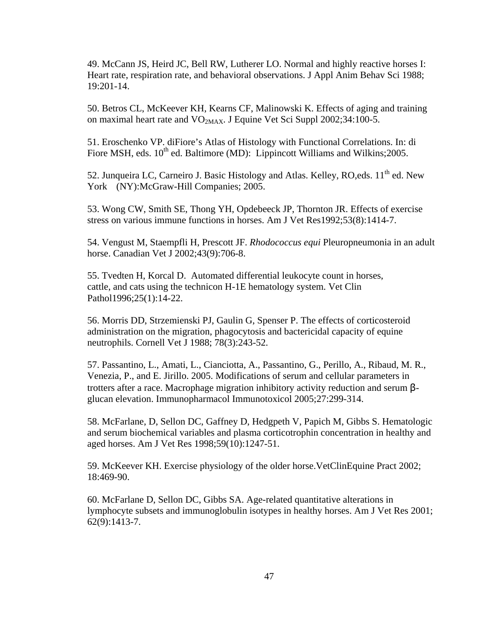49. McCann JS, Heird JC, Bell RW, Lutherer LO. Normal and highly reactive horses I: Heart rate, respiration rate, and behavioral observations. J Appl Anim Behav Sci 1988; 19:201-14.

50. Betros CL, McKeever KH, Kearns CF, Malinowski K. Effects of aging and training on maximal heart rate and VO<sub>2MAX</sub>. J Equine Vet Sci Suppl 2002;34:100-5.

51. Eroschenko VP. diFiore's Atlas of Histology with Functional Correlations. In: di Fiore MSH, eds.  $10^{th}$  ed. Baltimore (MD): Lippincott Williams and Wilkins; 2005.

52. Junqueira LC, Carneiro J. Basic Histology and Atlas. Kelley, RO,eds. 11<sup>th</sup> ed. New York (NY):McGraw-Hill Companies; 2005.

53. Wong CW, Smith SE, Thong YH, Opdebeeck JP, Thornton JR. Effects of exercise stress on various immune functions in horses. Am J Vet Res1992;53(8):1414-7.

54. Vengust M, Staempfli H, Prescott JF. *Rhodococcus equi* Pleuropneumonia in an adult horse. Canadian Vet J 2002;43(9):706-8.

55. Tvedten H, Korcal D. Automated differential leukocyte count in horses, cattle, and cats using the technicon H-1E hematology system. Vet Clin Pathol1996;25(1):14-22.

56. Morris DD, Strzemienski PJ, Gaulin G, Spenser P. The effects of corticosteroid administration on the migration, phagocytosis and bactericidal capacity of equine neutrophils. Cornell Vet J 1988; 78(3):243-52.

57. Passantino, L., Amati, L., Cianciotta, A., Passantino, G., Perillo, A., Ribaud, M. R., Venezia, P., and E. Jirillo. 2005. Modifications of serum and cellular parameters in trotters after a race. Macrophage migration inhibitory activity reduction and serum βglucan elevation. Immunopharmacol Immunotoxicol 2005;27:299-314.

58. McFarlane, D, Sellon DC, Gaffney D, Hedgpeth V, Papich M, Gibbs S. Hematologic and serum biochemical variables and plasma corticotrophin concentration in healthy and aged horses. Am J Vet Res 1998;59(10):1247-51.

59. McKeever KH. Exercise physiology of the older horse.VetClinEquine Pract 2002; 18:469-90.

60. McFarlane D, Sellon DC, Gibbs SA. Age-related quantitative alterations in lymphocyte subsets and immunoglobulin isotypes in healthy horses. Am J Vet Res 2001; 62(9):1413-7.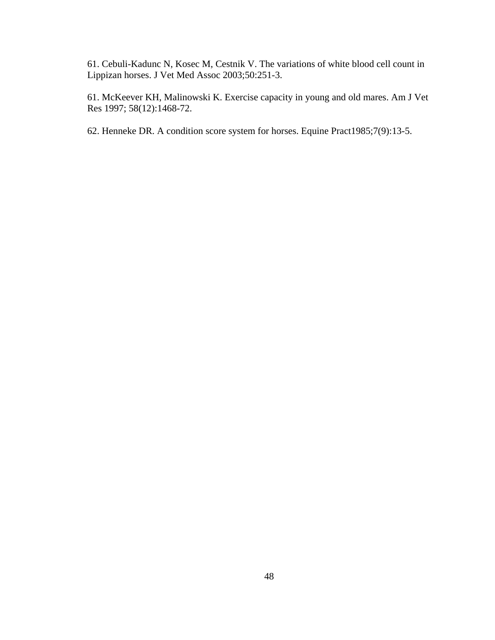61. Cebuli-Kadunc N, Kosec M, Cestnik V. The variations of white blood cell count in Lippizan horses. J Vet Med Assoc 2003;50:251-3.

61. McKeever KH, Malinowski K. Exercise capacity in young and old mares. Am J Vet Res 1997; 58(12):1468-72.

62. Henneke DR. A condition score system for horses. Equine Pract1985;7(9):13-5.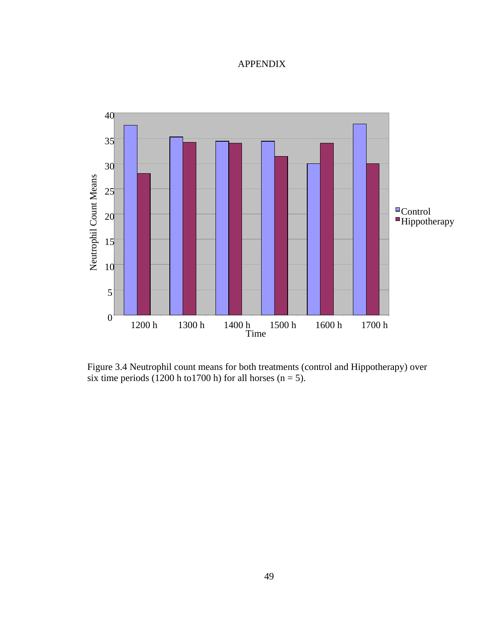# APPENDIX



Figure 3.4 Neutrophil count means for both treatments (control and Hippotherapy) over six time periods (1200 h to1700 h) for all horses (n = 5).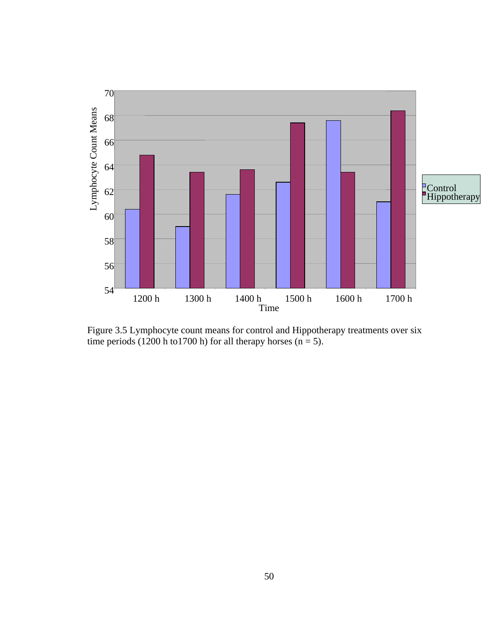

Figure 3.5 Lymphocyte count means for control and Hippotherapy treatments over six time periods (1200 h to1700 h) for all therapy horses ( $n = 5$ ).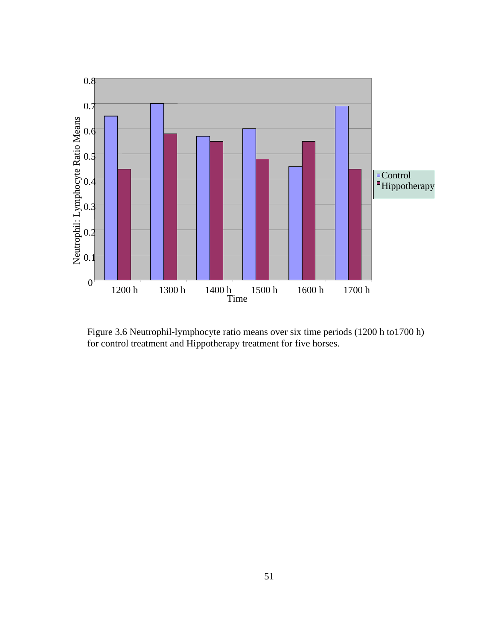

Figure 3.6 Neutrophil-lymphocyte ratio means over six time periods (1200 h to1700 h) for control treatment and Hippotherapy treatment for five horses.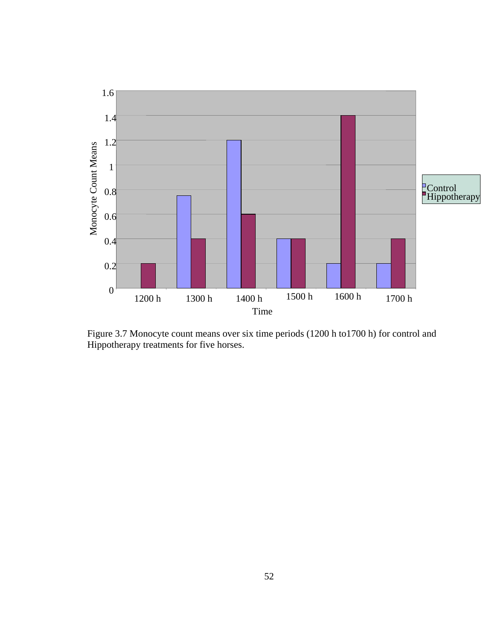

Figure 3.7 Monocyte count means over six time periods (1200 h to1700 h) for control and Hippotherapy treatments for five horses.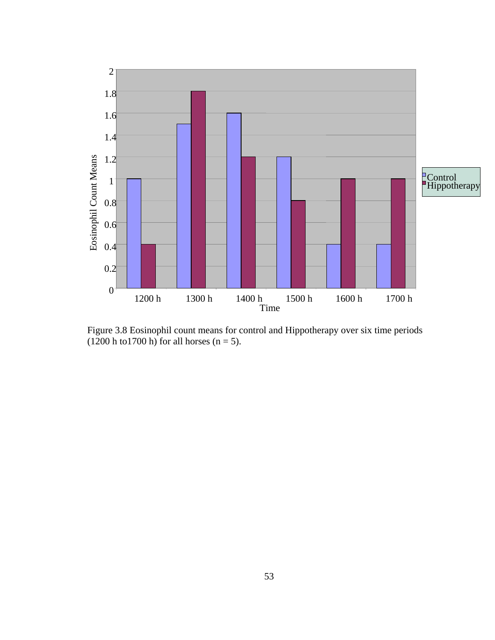

Figure 3.8 Eosinophil count means for control and Hippotherapy over six time periods  $(1200 \text{ h to } 1700 \text{ h})$  for all horses  $(n = 5)$ .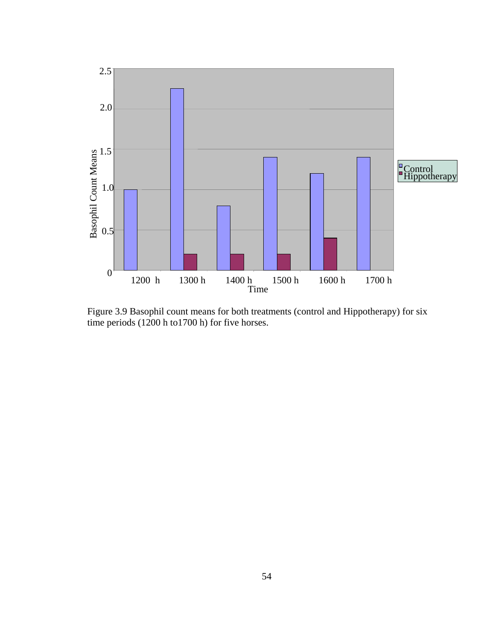

Figure 3.9 Basophil count means for both treatments (control and Hippotherapy) for six time periods (1200 h to1700 h) for five horses.